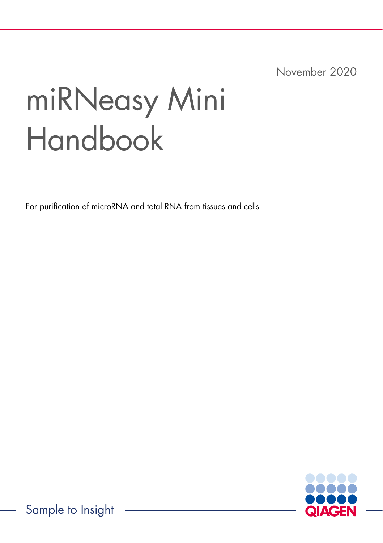November 2020

# miRNeasy Mini Handbook

For purification of microRNA and total RNA from tissues and cells



Sample to Insight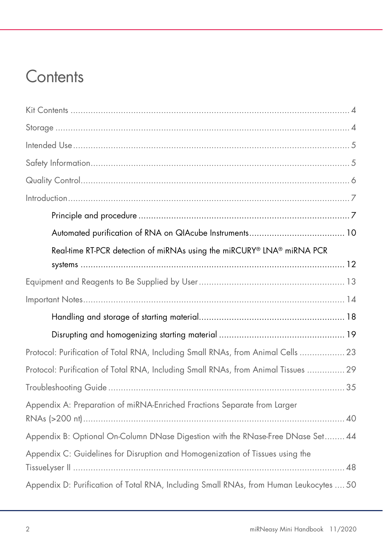# **Contents**

| Real-time RT-PCR detection of miRNAs using the miRCURY® LNA® miRNA PCR                 |  |
|----------------------------------------------------------------------------------------|--|
|                                                                                        |  |
|                                                                                        |  |
|                                                                                        |  |
|                                                                                        |  |
|                                                                                        |  |
| Protocol: Purification of Total RNA, Including Small RNAs, from Animal Cells  23       |  |
| Protocol: Purification of Total RNA, Including Small RNAs, from Animal Tissues  29     |  |
|                                                                                        |  |
| Appendix A: Preparation of miRNA-Enriched Fractions Separate from Larger               |  |
| Appendix B: Optional On-Column DNase Digestion with the RNase-Free DNase Set 44        |  |
| Appendix C: Guidelines for Disruption and Homogenization of Tissues using the          |  |
| Appendix D: Purification of Total RNA, Including Small RNAs, from Human Leukocytes  50 |  |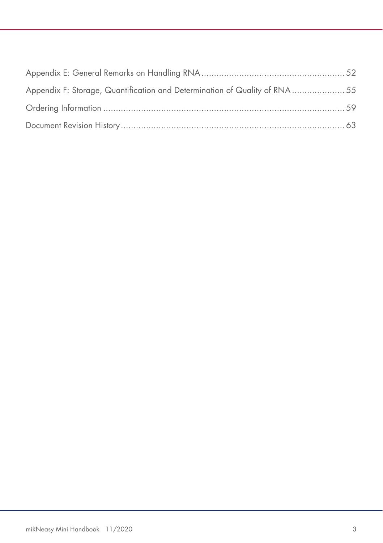| Appendix F: Storage, Quantification and Determination of Quality of RNA  55 |  |
|-----------------------------------------------------------------------------|--|
|                                                                             |  |
|                                                                             |  |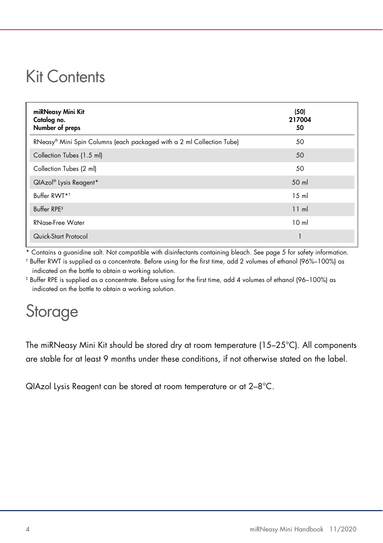# Kit Contents

| miRNeasy Mini Kit<br>Catalog no.<br>Number of preps                   | (50)<br>217004<br>50 |
|-----------------------------------------------------------------------|----------------------|
| RNeasy® Mini Spin Columns (each packaged with a 2 ml Collection Tube) | 50                   |
| Collection Tubes (1.5 ml)                                             | 50                   |
| Collection Tubes (2 ml)                                               | 50                   |
| QIAzol <sup>®</sup> Lysis Reagent*                                    | 50 ml                |
| Buffer RWT* <sup>†</sup>                                              | 15 <sub>m</sub>      |
| Buffer RPE <sup>#</sup>                                               | 11 ml                |
| <b>RNase-Free Water</b>                                               | 10 <sub>m</sub>      |
| Quick-Start Protocol                                                  |                      |

Contains a guanidine salt. Not compatible with disinfectants containing bleach. See page 5 for safety information.

† Buffer RWT is supplied as a concentrate. Before using for the first time, add 2 volumes of ethanol (96%–100%) as indicated on the bottle to obtain a working solution.

‡ Buffer RPE is supplied as a concentrate. Before using for the first time, add 4 volumes of ethanol (96–100%) as indicated on the bottle to obtain a working solution.

# Storage

The miRNeasy Mini Kit should be stored dry at room temperature (15–25°C). All components are stable for at least 9 months under these conditions, if not otherwise stated on the label.

QIAzol Lysis Reagent can be stored at room temperature or at 2–8°C.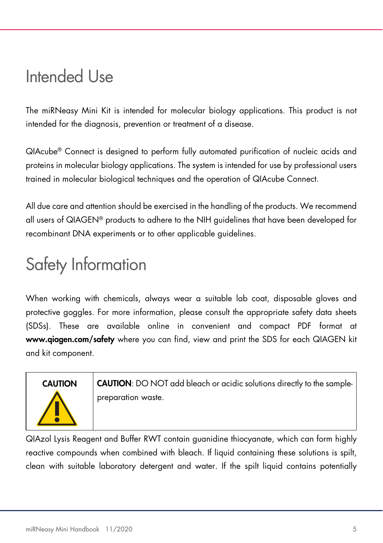# Intended Use

The miRNeasy Mini Kit is intended for molecular biology applications. This product is not intended for the diagnosis, prevention or treatment of a disease.

QIAcube® Connect is designed to perform fully automated purification of nucleic acids and proteins in molecular biology applications. The system is intended for use by professional users trained in molecular biological techniques and the operation of QIAcube Connect.

All due care and attention should be exercised in the handling of the products. We recommend all users of QIAGEN® products to adhere to the NIH guidelines that have been developed for recombinant DNA experiments or to other applicable guidelines.

# Safety Information

When working with chemicals, always wear a suitable lab coat, disposable gloves and protective goggles. For more information, please consult the appropriate safety data sheets (SDSs). These are available online in convenient and compact PDF format at www.qiagen.com/safety where you can find, view and print the SDS for each QIAGEN kit and kit component.

CAUTION CAUTION: DO NOT add bleach or acidic solutions directly to the samplepreparation waste.

QIAzol Lysis Reagent and Buffer RWT contain guanidine thiocyanate, which can form highly reactive compounds when combined with bleach. If liquid containing these solutions is spilt, clean with suitable laboratory detergent and water. If the spilt liquid contains potentially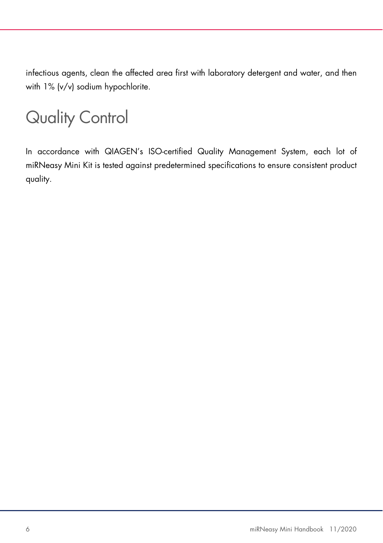infectious agents, clean the affected area first with laboratory detergent and water, and then with 1% (v/v) sodium hypochlorite.

# Quality Control

In accordance with QIAGEN's ISO-certified Quality Management System, each lot of miRNeasy Mini Kit is tested against predetermined specifications to ensure consistent product quality.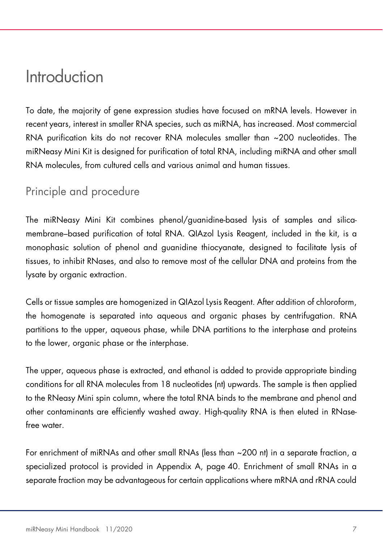# Introduction

To date, the majority of gene expression studies have focused on mRNA levels. However in recent years, interest in smaller RNA species, such as miRNA, has increased. Most commercial RNA purification kits do not recover RNA molecules smaller than ~200 nucleotides. The miRNeasy Mini Kit is designed for purification of total RNA, including miRNA and other small RNA molecules, from cultured cells and various animal and human tissues.

# Principle and procedure

The miRNeasy Mini Kit combines phenol/guanidine-based lysis of samples and silicamembrane–based purification of total RNA. QIAzol Lysis Reagent, included in the kit, is a monophasic solution of phenol and guanidine thiocyanate, designed to facilitate lysis of tissues, to inhibit RNases, and also to remove most of the cellular DNA and proteins from the lysate by organic extraction.

Cells or tissue samples are homogenized in QIAzol Lysis Reagent. After addition of chloroform, the homogenate is separated into aqueous and organic phases by centrifugation. RNA partitions to the upper, aqueous phase, while DNA partitions to the interphase and proteins to the lower, organic phase or the interphase.

The upper, aqueous phase is extracted, and ethanol is added to provide appropriate binding conditions for all RNA molecules from 18 nucleotides (nt) upwards. The sample is then applied to the RNeasy Mini spin column, where the total RNA binds to the membrane and phenol and other contaminants are efficiently washed away. High-quality RNA is then eluted in RNasefree water.

For enrichment of miRNAs and other small RNAs (less than ~200 nt) in a separate fraction, a specialized protocol is provided in Appendix A, page 40. Enrichment of small RNAs in a separate fraction may be advantageous for certain applications where mRNA and rRNA could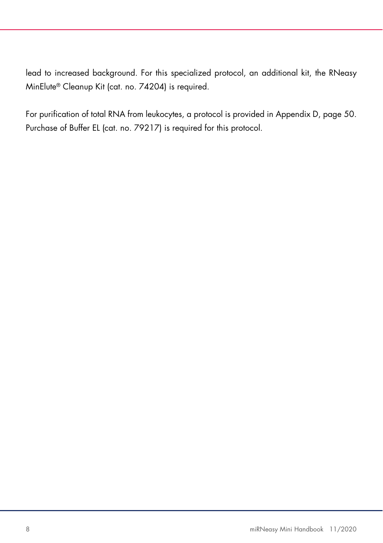lead to increased background. For this specialized protocol, an additional kit, the RNeasy MinElute® Cleanup Kit (cat. no. 74204) is required.

For purification of total RNA from leukocytes, a protocol is provided in Appendix D, page 50. Purchase of Buffer EL (cat. no. 79217) is required for this protocol.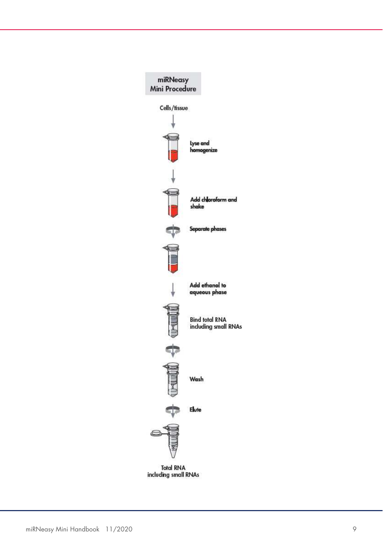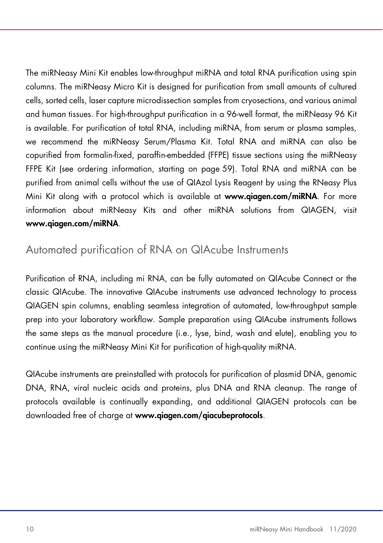The miRNeasy Mini Kit enables low-throughput miRNA and total RNA purification using spin columns. The miRNeasy Micro Kit is designed for purification from small amounts of cultured cells, sorted cells, laser capture microdissection samples from cryosections, and various animal and human tissues. For high-throughput purification in a 96-well format, the miRNeasy 96 Kit is available. For purification of total RNA, including miRNA, from serum or plasma samples, we recommend the miRNeasy Serum/Plasma Kit. Total RNA and miRNA can also be copurified from formalin-fixed, paraffin-embedded (FFPE) tissue sections using the miRNeasy FFPE Kit (see ordering information, starting on page 59). Total RNA and miRNA can be purified from animal cells without the use of QIAzol Lysis Reagent by using the RNeasy Plus Mini Kit along with a protocol which is available at www.qiagen.com/miRNA. For more information about miRNeasy Kits and other miRNA solutions from QIAGEN, visit www.qiagen.com/miRNA.

# Automated purification of RNA on QIAcube Instruments

Purification of RNA, including mi RNA, can be fully automated on QIAcube Connect or the classic QIAcube. The innovative QIAcube instruments use advanced technology to process QIAGEN spin columns, enabling seamless integration of automated, low-throughput sample prep into your laboratory workflow. Sample preparation using QIAcube instruments follows the same steps as the manual procedure (i.e., lyse, bind, wash and elute), enabling you to continue using the miRNeasy Mini Kit for purification of high-quality miRNA.

QIAcube instruments are preinstalled with protocols for purification of plasmid DNA, genomic DNA, RNA, viral nucleic acids and proteins, plus DNA and RNA cleanup. The range of protocols available is continually expanding, and additional QIAGEN protocols can be downloaded free of charge at www.qiagen.com/qiacubeprotocols.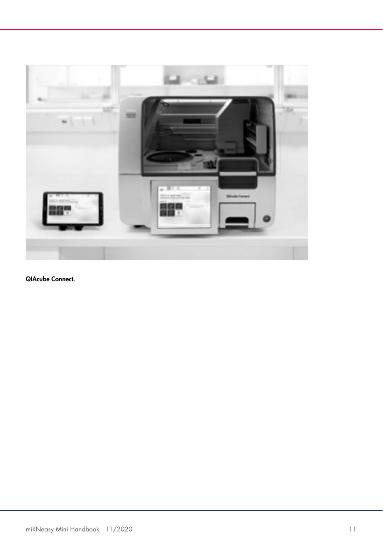

QIAcube Connect.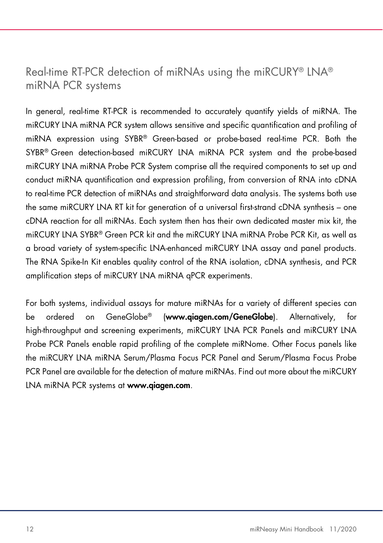# Real-time RT-PCR detection of miRNAs using the miRCURY® LNA® miRNA PCR systems

In general, real-time RT-PCR is recommended to accurately quantify yields of miRNA. The miRCURY LNA miRNA PCR system allows sensitive and specific quantification and profiling of miRNA expression using SYBR® Green-based or probe-based real-time PCR. Both the SYBR® Green detection-based miRCURY LNA miRNA PCR system and the probe-based miRCURY LNA miRNA Probe PCR System comprise all the required components to set up and conduct miRNA quantification and expression profiling, from conversion of RNA into cDNA to real-time PCR detection of miRNAs and straightforward data analysis. The systems both use the same miRCURY LNA RT kit for generation of a universal first-strand cDNA synthesis – one cDNA reaction for all miRNAs. Each system then has their own dedicated master mix kit, the miRCURY LNA SYBR® Green PCR kit and the miRCURY LNA miRNA Probe PCR Kit, as well as a broad variety of system-specific LNA-enhanced miRCURY LNA assay and panel products. The RNA Spike-In Kit enables quality control of the RNA isolation, cDNA synthesis, and PCR amplification steps of miRCURY LNA miRNA qPCR experiments.

For both systems, individual assays for mature miRNAs for a variety of different species can be ordered on GeneGlobe® (www.qiagen.com/GeneGlobe). Alternatively, for high-throughput and screening experiments, miRCURY LNA PCR Panels and miRCURY LNA Probe PCR Panels enable rapid profiling of the complete miRNome. Other Focus panels like the miRCURY LNA miRNA Serum/Plasma Focus PCR Panel and Serum/Plasma Focus Probe PCR Panel are available for the detection of mature miRNAs. Find out more about the miRCURY LNA miRNA PCR systems at www.qiagen.com.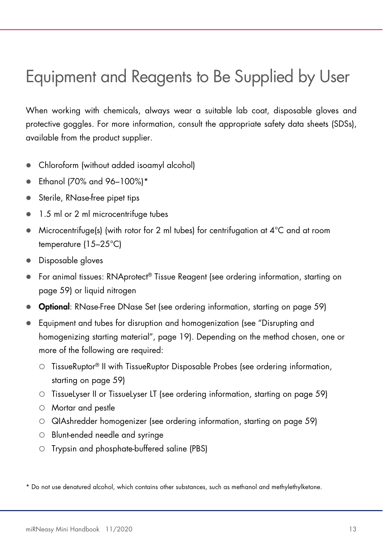# Equipment and Reagents to Be Supplied by User

When working with chemicals, always wear a suitable lab coat, disposable gloves and protective goggles. For more information, consult the appropriate safety data sheets (SDSs), available from the product supplier.

- Chloroform (without added isoamyl alcohol)
- $\bullet$  Ethanol (70% and 96-100%)\*
- Sterile, RNase-free pipet tips
- 1.5 ml or 2 ml microcentrifuge tubes
- $\bullet$  Microcentrifuge(s) (with rotor for 2 ml tubes) for centrifugation at  $4^{\circ}$ C and at room temperature (15–25°C)
- **Disposable gloves**
- For animal tissues: RNAprotect® Tissue Reagent (see ordering information, starting on page 59) or liquid nitrogen
- Optional: RNase-Free DNase Set (see ordering information, starting on page 59)
- Equipment and tubes for disruption and homogenization (see "Disrupting and homogenizing starting material", page 19). Depending on the method chosen, one or more of the following are required:
	- TissueRuptor® II with TissueRuptor Disposable Probes (see ordering information, starting on page 59)
	- TissueLyser II or TissueLyser LT (see ordering information, starting on page 59)
	- Mortar and pestle
	- QIAshredder homogenizer (see ordering information, starting on page 59)
	- Blunt-ended needle and syringe
	- Trypsin and phosphate-buffered saline (PBS)

\* Do not use denatured alcohol, which contains other substances, such as methanol and methylethylketone.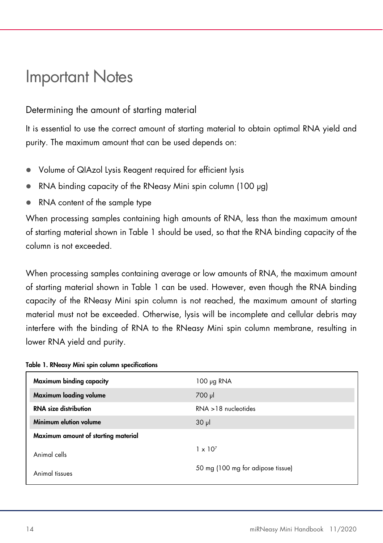# Important Notes

# Determining the amount of starting material

It is essential to use the correct amount of starting material to obtain optimal RNA yield and purity. The maximum amount that can be used depends on:

- Volume of QIAzol Lysis Reagent required for efficient lysis
- RNA binding capacity of the RNeasy Mini spin column (100 µg)
- RNA content of the sample type

When processing samples containing high amounts of RNA, less than the maximum amount of starting material shown in Table 1 should be used, so that the RNA binding capacity of the column is not exceeded.

When processing samples containing average or low amounts of RNA, the maximum amount of starting material shown in Table 1 can be used. However, even though the RNA binding capacity of the RNeasy Mini spin column is not reached, the maximum amount of starting material must not be exceeded. Otherwise, lysis will be incomplete and cellular debris may interfere with the binding of RNA to the RNeasy Mini spin column membrane, resulting in lower RNA yield and purity.

| Maximum binding capacity            | $100 \mu g$ RNA                   |
|-------------------------------------|-----------------------------------|
| Maximum loading volume              | 700 µl                            |
| <b>RNA</b> size distribution        | $RNA > 18$ nucleotides            |
| Minimum elution volume              | $30 \mu$                          |
| Maximum amount of starting material |                                   |
| Animal cells                        | $1 \times 10^{7}$                 |
| Animal tissues                      | 50 mg (100 mg for adipose tissue) |

| Table 1. RNeasy Mini spin column specifications |
|-------------------------------------------------|
|-------------------------------------------------|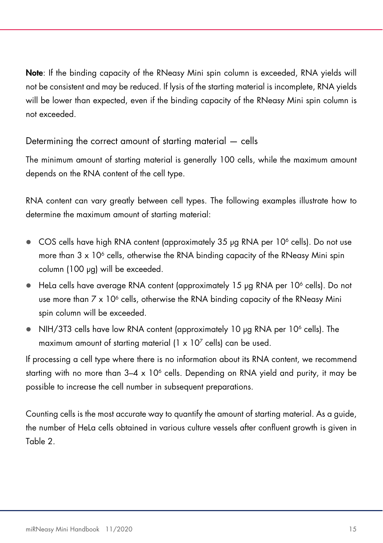Note: If the binding capacity of the RNeasy Mini spin column is exceeded, RNA yields will not be consistent and may be reduced. If lysis of the starting material is incomplete, RNA yields will be lower than expected, even if the binding capacity of the RNeasy Mini spin column is not exceeded.

Determining the correct amount of starting material — cells

The minimum amount of starting material is generally 100 cells, while the maximum amount depends on the RNA content of the cell type.

RNA content can vary greatly between cell types. The following examples illustrate how to determine the maximum amount of starting material:

- COS cells have high RNA content (approximately 35 µg RNA per 10<sup>6</sup> cells). Do not use more than  $3 \times 10^6$  cells, otherwise the RNA binding capacity of the RNeasy Mini spin column (100 µg) will be exceeded.
- $\bullet$  HeLa cells have average RNA content (approximately 15  $\mu$ g RNA per 10<sup>6</sup> cells). Do not use more than 7 x 10<sup>6</sup> cells, otherwise the RNA binding capacity of the RNeasy Mini spin column will be exceeded.
- NIH/3T3 cells have low RNA content (approximately 10 µg RNA per 10<sup>6</sup> cells). The maximum amount of starting material (1 x 10<sup>7</sup> cells) can be used.

If processing a cell type where there is no information about its RNA content, we recommend starting with no more than 3–4 x 10<sup>6</sup> cells. Depending on RNA yield and purity, it may be possible to increase the cell number in subsequent preparations.

Counting cells is the most accurate way to quantify the amount of starting material. As a guide, the number of HeLa cells obtained in various culture vessels after confluent growth is given in Table 2.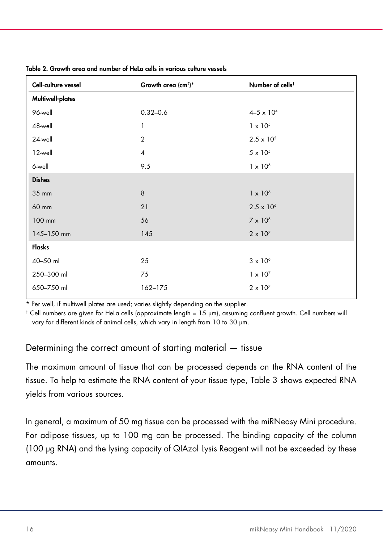| Growth area (cm <sup>2</sup> )* | Number of cells <sup>t</sup> |
|---------------------------------|------------------------------|
|                                 |                              |
| $0.32 - 0.6$                    | $4 - 5 \times 10^{4}$        |
| 1                               | $1 \times 10^{5}$            |
| 2                               | $2.5 \times 10^{5}$          |
| $\overline{4}$                  | $5 \times 10^5$              |
| 9.5                             | $1 \times 10^{6}$            |
| <b>Dishes</b>                   |                              |
| 8                               | $1 \times 10^{6}$            |
| 21                              | $2.5 \times 10^{6}$          |
| 56                              | $7 \times 10^6$              |
| 145                             | $2 \times 10^7$              |
|                                 |                              |
| 25                              | $3 \times 10^6$              |
| 75                              | $1 \times 10^{7}$            |
| 162-175                         | $2 \times 10^{7}$            |
|                                 |                              |

| Table 2. Growth area and number of HeLa cells in various culture vessels |  |  |  |
|--------------------------------------------------------------------------|--|--|--|
|--------------------------------------------------------------------------|--|--|--|

\* Per well, if multiwell plates are used; varies slightly depending on the supplier.

† Cell numbers are given for HeLa cells (approximate length = 15 µm), assuming confluent growth. Cell numbers will vary for different kinds of animal cells, which vary in length from 10 to 30 µm.

### Determining the correct amount of starting material — tissue

The maximum amount of tissue that can be processed depends on the RNA content of the tissue. To help to estimate the RNA content of your tissue type, Table 3 shows expected RNA yields from various sources.

In general, a maximum of 50 mg tissue can be processed with the miRNeasy Mini procedure. For adipose tissues, up to 100 mg can be processed. The binding capacity of the column (100 µg RNA) and the lysing capacity of QIAzol Lysis Reagent will not be exceeded by these amounts.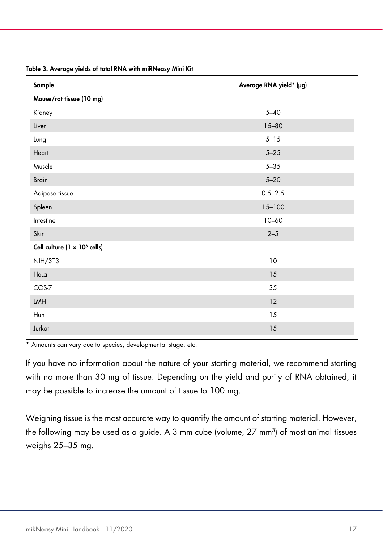| Sample                                   | Average RNA yield* (µg) |
|------------------------------------------|-------------------------|
| Mouse/rat tissue (10 mg)                 |                         |
| Kidney                                   | $5 - 40$                |
| Liver                                    | $15 - 80$               |
| Lung                                     | $5 - 15$                |
| Heart                                    | $5 - 25$                |
| Muscle                                   | $5 - 35$                |
| <b>Brain</b>                             | $5 - 20$                |
| Adipose tissue                           | $0.5 - 2.5$             |
| Spleen                                   | $15 - 100$              |
| Intestine                                | $10 - 60$               |
| Skin                                     | $2 - 5$                 |
| Cell culture (1 x 10 <sup>6</sup> cells) |                         |
| <b>NIH/3T3</b>                           | 10                      |
| Hela                                     | 15                      |
| COS-7                                    | 35                      |
| LMH                                      | 12                      |
| Huh                                      | 15                      |
| Jurkat                                   | 15                      |

Table 3. Average yields of total RNA with miRNeasy Mini Kit

\* Amounts can vary due to species, developmental stage, etc.

If you have no information about the nature of your starting material, we recommend starting with no more than 30 mg of tissue. Depending on the yield and purity of RNA obtained, it may be possible to increase the amount of tissue to 100 mg.

Weighing tissue is the most accurate way to quantify the amount of starting material. However, the following may be used as a guide. A 3 mm cube (volume, 27 mm<sup>3</sup>) of most animal tissues weighs 25–35 mg.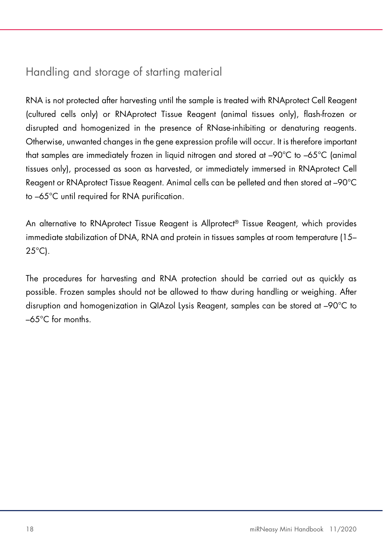# Handling and storage of starting material

RNA is not protected after harvesting until the sample is treated with RNAprotect Cell Reagent (cultured cells only) or RNAprotect Tissue Reagent (animal tissues only), flash-frozen or disrupted and homogenized in the presence of RNase-inhibiting or denaturing reagents. Otherwise, unwanted changes in the gene expression profile will occur. It is therefore important that samples are immediately frozen in liquid nitrogen and stored at –90°C to –65°C (animal tissues only), processed as soon as harvested, or immediately immersed in RNAprotect Cell Reagent or RNAprotect Tissue Reagent. Animal cells can be pelleted and then stored at –90°C to –65°C until required for RNA purification.

An alternative to RNAprotect Tissue Reagent is Allprotect® Tissue Reagent, which provides immediate stabilization of DNA, RNA and protein in tissues samples at room temperature (15– 25°C).

The procedures for harvesting and RNA protection should be carried out as quickly as possible. Frozen samples should not be allowed to thaw during handling or weighing. After disruption and homogenization in QIAzol Lysis Reagent, samples can be stored at –90°C to –65°C for months.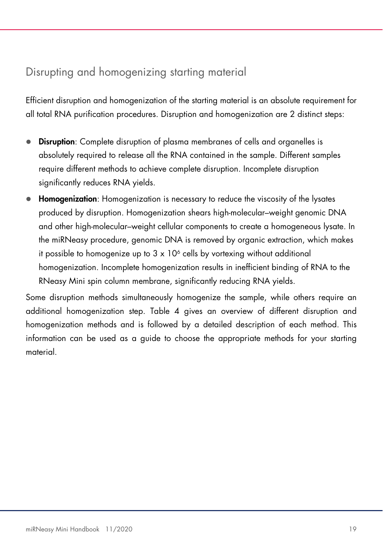# Disrupting and homogenizing starting material

Efficient disruption and homogenization of the starting material is an absolute requirement for all total RNA purification procedures. Disruption and homogenization are 2 distinct steps:

- Disruption: Complete disruption of plasma membranes of cells and organelles is absolutely required to release all the RNA contained in the sample. Different samples require different methods to achieve complete disruption. Incomplete disruption significantly reduces RNA yields.
- **Homogenization:** Homogenization is necessary to reduce the viscosity of the lysates produced by disruption. Homogenization shears high-molecular–weight genomic DNA and other high-molecular–weight cellular components to create a homogeneous lysate. In the miRNeasy procedure, genomic DNA is removed by organic extraction, which makes it possible to homogenize up to 3  $\times$  10<sup>6</sup> cells by vortexing without additional homogenization. Incomplete homogenization results in inefficient binding of RNA to the RNeasy Mini spin column membrane, significantly reducing RNA yields.

Some disruption methods simultaneously homogenize the sample, while others require an additional homogenization step. Table 4 gives an overview of different disruption and homogenization methods and is followed by a detailed description of each method. This information can be used as a guide to choose the appropriate methods for your starting material.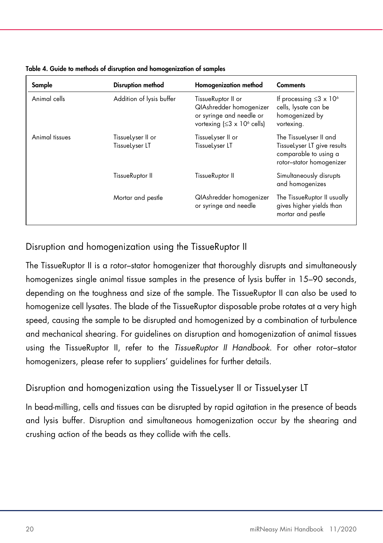| Sample         | <b>Disruption method</b>            | Homogenization method                                                                                                               | <b>Comments</b>                                                                                            |
|----------------|-------------------------------------|-------------------------------------------------------------------------------------------------------------------------------------|------------------------------------------------------------------------------------------------------------|
| Animal cells   | Addition of lysis buffer            | TissueRuptor II or<br><b>QIAshredder homogenizer</b><br>or syringe and needle or<br>vortexing $( \leq 3 \times 10^6 \text{ cells})$ | If processing $\leq 3 \times 10^6$<br>cells, lysate can be<br>homogenized by<br>vortexing.                 |
| Animal tissues | TissueLyser II or<br>TissueLyser LT | TissueLyser II or<br>TissueLyser LT                                                                                                 | The TissueLyser II and<br>TissueLyser LT give results<br>comparable to using a<br>rotor-stator homogenizer |
|                | TissueRuptor II                     | TissueRuptor II                                                                                                                     | Simultaneously disrupts<br>and homogenizes                                                                 |
|                | Mortar and pestle                   | <b>QIAshredder homogenizer</b><br>or syringe and needle                                                                             | The TissueRuptor II usually<br>gives higher yields than<br>mortar and pestle                               |

Table 4. Guide to methods of disruption and homogenization of samples

Disruption and homogenization using the TissueRuptor II

The TissueRuptor II is a rotor–stator homogenizer that thoroughly disrupts and simultaneously homogenizes single animal tissue samples in the presence of lysis buffer in 15–90 seconds, depending on the toughness and size of the sample. The TissueRuptor II can also be used to homogenize cell lysates. The blade of the TissueRuptor disposable probe rotates at a very high speed, causing the sample to be disrupted and homogenized by a combination of turbulence and mechanical shearing. For guidelines on disruption and homogenization of animal tissues using the TissueRuptor II, refer to the TissueRuptor II Handbook. For other rotor–stator homogenizers, please refer to suppliers' guidelines for further details.

# Disruption and homogenization using the TissueLyser II or TissueLyser LT

In bead-milling, cells and tissues can be disrupted by rapid agitation in the presence of beads and lysis buffer. Disruption and simultaneous homogenization occur by the shearing and crushing action of the beads as they collide with the cells.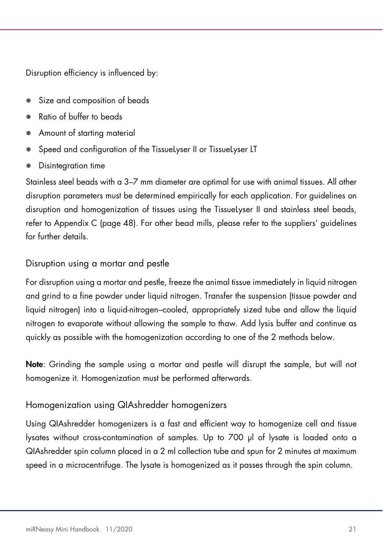Disruption efficiency is influenced by:

- Size and composition of beads
- Ratio of buffer to beads
- Amount of starting material
- Speed and configuration of the TissueLyser II or TissueLyser LT
- Disintegration time

Stainless steel beads with a 3–7 mm diameter are optimal for use with animal tissues. All other disruption parameters must be determined empirically for each application. For guidelines on disruption and homogenization of tissues using the TissueLyser II and stainless steel beads, refer to Appendix C (page 48). For other bead mills, please refer to the suppliers' guidelines for further details.

# Disruption using a mortar and pestle

For disruption using a mortar and pestle, freeze the animal tissue immediately in liquid nitrogen and grind to a fine powder under liquid nitrogen. Transfer the suspension (tissue powder and liquid nitrogen) into a liquid-nitrogen–cooled, appropriately sized tube and allow the liquid nitrogen to evaporate without allowing the sample to thaw. Add lysis buffer and continue as quickly as possible with the homogenization according to one of the 2 methods below.

Note: Grinding the sample using a mortar and pestle will disrupt the sample, but will not homogenize it. Homogenization must be performed afterwards.

# Homogenization using QIAshredder homogenizers

Using QIAshredder homogenizers is a fast and efficient way to homogenize cell and tissue lysates without cross-contamination of samples. Up to 700 µl of lysate is loaded onto a QIAshredder spin column placed in a 2 ml collection tube and spun for 2 minutes at maximum speed in a microcentrifuge. The lysate is homogenized as it passes through the spin column.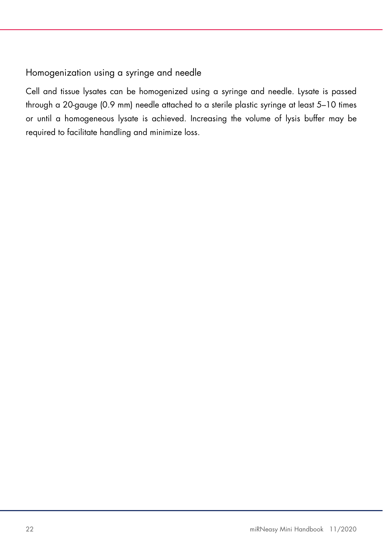# Homogenization using a syringe and needle

Cell and tissue lysates can be homogenized using a syringe and needle. Lysate is passed through a 20-gauge (0.9 mm) needle attached to a sterile plastic syringe at least 5–10 times or until a homogeneous lysate is achieved. Increasing the volume of lysis buffer may be required to facilitate handling and minimize loss.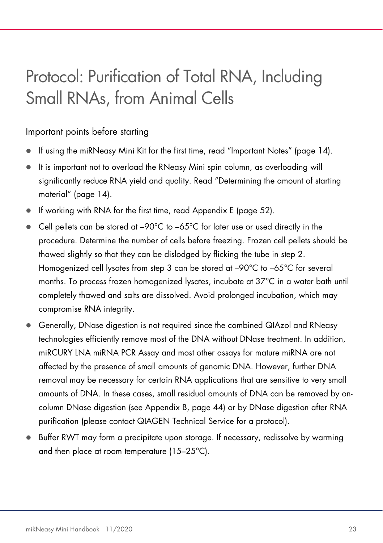# Protocol: Purification of Total RNA, Including Small RNAs, from Animal Cells

# Important points before starting

- If using the miRNeasy Mini Kit for the first time, read "Important Notes" (page 14).
- It is important not to overload the RNeasy Mini spin column, as overloading will significantly reduce RNA yield and quality. Read "Determining the amount of starting material" (page 14).
- If working with RNA for the first time, read Appendix E (page 52).
- $\bullet$  Cell pellets can be stored at -90°C to -65°C for later use or used directly in the procedure. Determine the number of cells before freezing. Frozen cell pellets should be thawed slightly so that they can be dislodged by flicking the tube in step 2. Homogenized cell lysates from step 3 can be stored at –90°C to –65°C for several months. To process frozen homogenized lysates, incubate at 37°C in a water bath until completely thawed and salts are dissolved. Avoid prolonged incubation, which may compromise RNA integrity.
- Generally, DNase digestion is not required since the combined QIAzol and RNeasy technologies efficiently remove most of the DNA without DNase treatment. In addition, miRCURY LNA miRNA PCR Assay and most other assays for mature miRNA are not affected by the presence of small amounts of genomic DNA. However, further DNA removal may be necessary for certain RNA applications that are sensitive to very small amounts of DNA. In these cases, small residual amounts of DNA can be removed by oncolumn DNase digestion (see Appendix B, page 44) or by DNase digestion after RNA purification (please contact QIAGEN Technical Service for a protocol).
- Buffer RWT may form a precipitate upon storage. If necessary, redissolve by warming and then place at room temperature (15–25°C).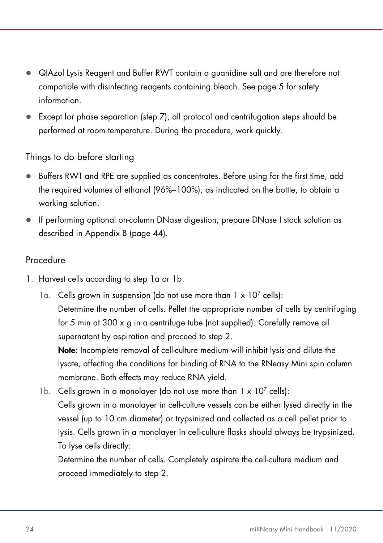- QIAzol Lysis Reagent and Buffer RWT contain a guanidine salt and are therefore not compatible with disinfecting reagents containing bleach. See page 5 for safety information.
- Except for phase separation (step 7), all protocol and centrifugation steps should be performed at room temperature. During the procedure, work quickly.

# Things to do before starting

- Buffers RWT and RPE are supplied as concentrates. Before using for the first time, add the required volumes of ethanol (96%–100%), as indicated on the bottle, to obtain a working solution.
- If performing optional on-column DNase digestion, prepare DNase I stock solution as described in Appendix B (page 44).

# Procedure

- 1. Harvest cells according to step 1a or 1b.
	- 1a. Cells grown in suspension (do not use more than  $1 \times 10^7$  cells): Determine the number of cells. Pellet the appropriate number of cells by centrifuging for 5 min at 300 x g in a centrifuge tube (not supplied). Carefully remove all supernatant by aspiration and proceed to step 2.

Note: Incomplete removal of cell-culture medium will inhibit lysis and dilute the lysate, affecting the conditions for binding of RNA to the RNeasy Mini spin column membrane. Both effects may reduce RNA yield.

1b. Cells grown in a monolayer (do not use more than  $1 \times 10^7$  cells): Cells grown in a monolayer in cell-culture vessels can be either lysed directly in the vessel (up to 10 cm diameter) or trypsinized and collected as a cell pellet prior to lysis. Cells grown in a monolayer in cell-culture flasks should always be trypsinized. To lyse cells directly:

Determine the number of cells. Completely aspirate the cell-culture medium and proceed immediately to step 2.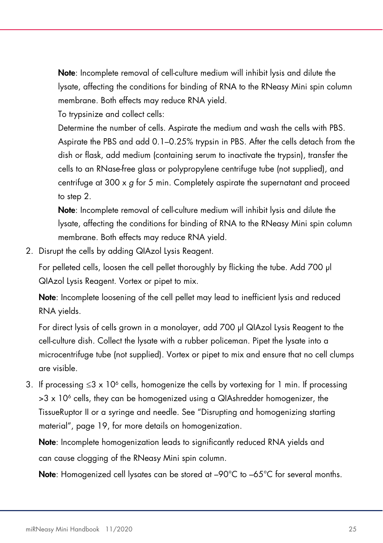Note: Incomplete removal of cell-culture medium will inhibit lysis and dilute the lysate, affecting the conditions for binding of RNA to the RNeasy Mini spin column membrane. Both effects may reduce RNA yield.

To trypsinize and collect cells:

Determine the number of cells. Aspirate the medium and wash the cells with PBS. Aspirate the PBS and add 0.1–0.25% trypsin in PBS. After the cells detach from the dish or flask, add medium (containing serum to inactivate the trypsin), transfer the cells to an RNase-free glass or polypropylene centrifuge tube (not supplied), and centrifuge at  $300 \times q$  for 5 min. Completely aspirate the supernatant and proceed to step 2.

Note: Incomplete removal of cell-culture medium will inhibit lysis and dilute the lysate, affecting the conditions for binding of RNA to the RNeasy Mini spin column membrane. Both effects may reduce RNA yield.

2. Disrupt the cells by adding QIAzol Lysis Reagent.

For pelleted cells, loosen the cell pellet thoroughly by flicking the tube. Add 700 µl QIAzol Lysis Reagent. Vortex or pipet to mix.

Note: Incomplete loosening of the cell pellet may lead to inefficient lysis and reduced RNA yields.

For direct lysis of cells grown in a monolayer, add 700 µl QIAzol Lysis Reagent to the cell-culture dish. Collect the lysate with a rubber policeman. Pipet the lysate into a microcentrifuge tube (not supplied). Vortex or pipet to mix and ensure that no cell clumps are visible.

3. If processing ≤3 x 10<sup>6</sup> cells, homogenize the cells by vortexing for 1 min. If processing >3 x 10<sup>6</sup> cells, they can be homogenized using a QIAshredder homogenizer, the TissueRuptor II or a syringe and needle. See "Disrupting and homogenizing starting material", page 19, for more details on homogenization.

Note: Incomplete homogenization leads to significantly reduced RNA yields and can cause clogging of the RNeasy Mini spin column.

**Note:** Homogenized cell lysates can be stored at  $-90^{\circ}$ C to  $-65^{\circ}$ C for several months.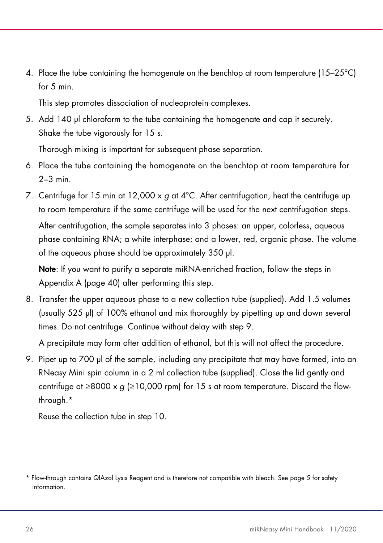4. Place the tube containing the homogenate on the benchtop at room temperature (15–25°C) for 5 min.

This step promotes dissociation of nucleoprotein complexes.

5. Add 140 µl chloroform to the tube containing the homogenate and cap it securely. Shake the tube vigorously for 15 s.

Thorough mixing is important for subsequent phase separation.

- 6. Place the tube containing the homogenate on the benchtop at room temperature for  $2-3$  min.
- 7. Centrifuge for 15 min at 12,000 x  $q$  at 4°C. After centrifugation, heat the centrifuge up to room temperature if the same centrifuge will be used for the next centrifugation steps. After centrifugation, the sample separates into 3 phases: an upper, colorless, aqueous phase containing RNA; a white interphase; and a lower, red, organic phase. The volume of the aqueous phase should be approximately 350 µl.

Note: If you want to purify a separate miRNA-enriched fraction, follow the steps in Appendix A (page 40) after performing this step.

8. Transfer the upper aqueous phase to a new collection tube (supplied). Add 1.5 volumes (usually 525 µl) of 100% ethanol and mix thoroughly by pipetting up and down several times. Do not centrifuge. Continue without delay with step 9.

A precipitate may form after addition of ethanol, but this will not affect the procedure.

9. Pipet up to 700 µl of the sample, including any precipitate that may have formed, into an RNeasy Mini spin column in a 2 ml collection tube (supplied). Close the lid gently and centrifuge at ≥8000 x  $g$  (≥10,000 rpm) for 15 s at room temperature. Discard the flowthrough.\*

Reuse the collection tube in step 10.

<sup>\*</sup> Flow-through contains QIAzol Lysis Reagent and is therefore not compatible with bleach. See page 5 for safety information.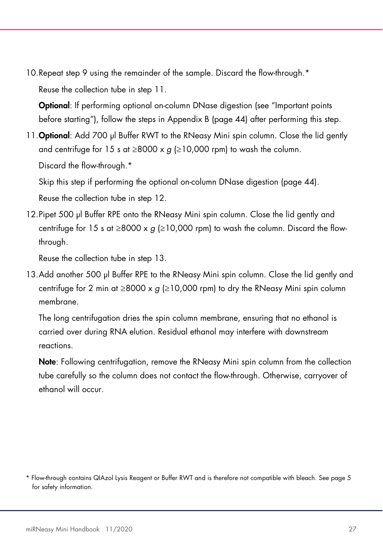10.Repeat step 9 using the remainder of the sample. Discard the flow-through.\* Reuse the collection tube in step 11.

Optional: If performing optional on-column DNase digestion (see "Important points before starting"), follow the steps in Appendix B (page 44) after performing this step.

11. **Optional**: Add 700 µl Buffer RWT to the RNeasy Mini spin column. Close the lid gently and centrifuge for 15 s at  $\geq$ 8000 x g ( $\geq$ 10,000 rpm) to wash the column. Discard the flow-through.<sup>\*</sup>

Skip this step if performing the optional on-column DNase digestion (page 44). Reuse the collection tube in step 12.

12.Pipet 500 µl Buffer RPE onto the RNeasy Mini spin column. Close the lid gently and centrifuge for 15 s at  $\geq 8000 \times g \geq 10,000$  rpm) to wash the column. Discard the flowthrough.

Reuse the collection tube in step 13.

13.Add another 500 µl Buffer RPE to the RNeasy Mini spin column. Close the lid gently and centrifuge for 2 min at ≥8000 x  $g$  (≥10,000 rpm) to dry the RNeasy Mini spin column membrane.

The long centrifugation dries the spin column membrane, ensuring that no ethanol is carried over during RNA elution. Residual ethanol may interfere with downstream reactions.

Note: Following centrifugation, remove the RNeasy Mini spin column from the collection tube carefully so the column does not contact the flow-through. Otherwise, carryover of ethanol will occur.

<sup>\*</sup> Flow-through contains QIAzol Lysis Reagent or Buffer RWT and is therefore not compatible with bleach. See page 5 for safety information.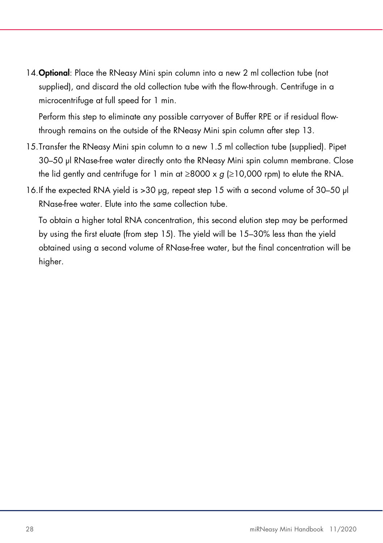14. Optional: Place the RNeasy Mini spin column into a new 2 ml collection tube (not supplied), and discard the old collection tube with the flow-through. Centrifuge in a microcentrifuge at full speed for 1 min.

Perform this step to eliminate any possible carryover of Buffer RPE or if residual flowthrough remains on the outside of the RNeasy Mini spin column after step 13.

- 15.Transfer the RNeasy Mini spin column to a new 1.5 ml collection tube (supplied). Pipet 30–50 µl RNase-free water directly onto the RNeasy Mini spin column membrane. Close the lid gently and centrifuge for 1 min at  $\geq 8000 \times g$  ( $\geq 10,000$  rpm) to elute the RNA.
- 16.If the expected RNA yield is >30 µg, repeat step 15 with a second volume of 30–50 µl RNase-free water. Elute into the same collection tube.

To obtain a higher total RNA concentration, this second elution step may be performed by using the first eluate (from step 15). The yield will be 15–30% less than the yield obtained using a second volume of RNase-free water, but the final concentration will be higher.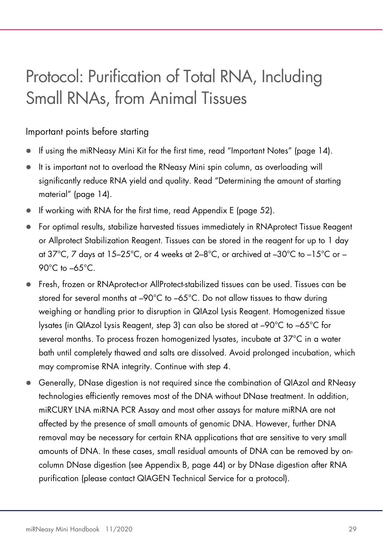# Protocol: Purification of Total RNA, Including Small RNAs, from Animal Tissues

### Important points before starting

- If using the miRNeasy Mini Kit for the first time, read "Important Notes" (page 14).
- It is important not to overload the RNeasy Mini spin column, as overloading will significantly reduce RNA yield and quality. Read "Determining the amount of starting material" (page 14).
- If working with RNA for the first time, read Appendix E (page 52).
- For optimal results, stabilize harvested tissues immediately in RNAprotect Tissue Reagent or Allprotect Stabilization Reagent. Tissues can be stored in the reagent for up to 1 day at  $37^{\circ}$ C, 7 days at  $15-25^{\circ}$ C, or 4 weeks at  $2-8^{\circ}$ C, or archived at  $-30^{\circ}$ C to  $-15^{\circ}$ C or  $-$ 90°C to –65°C.
- Fresh, frozen or RNAprotect-or AllProtect-stabilized tissues can be used. Tissues can be stored for several months at –90°C to –65°C. Do not allow tissues to thaw during weighing or handling prior to disruption in QIAzol Lysis Reagent. Homogenized tissue lysates (in QIAzol Lysis Reagent, step 3) can also be stored at –90°C to –65°C for several months. To process frozen homogenized lysates, incubate at 37°C in a water bath until completely thawed and salts are dissolved. Avoid prolonged incubation, which may compromise RNA integrity. Continue with step 4.
- Generally, DNase digestion is not required since the combination of QIAzol and RNeasy technologies efficiently removes most of the DNA without DNase treatment. In addition, miRCURY LNA miRNA PCR Assay and most other assays for mature miRNA are not affected by the presence of small amounts of genomic DNA. However, further DNA removal may be necessary for certain RNA applications that are sensitive to very small amounts of DNA. In these cases, small residual amounts of DNA can be removed by oncolumn DNase digestion (see Appendix B, page 44) or by DNase digestion after RNA purification (please contact QIAGEN Technical Service for a protocol).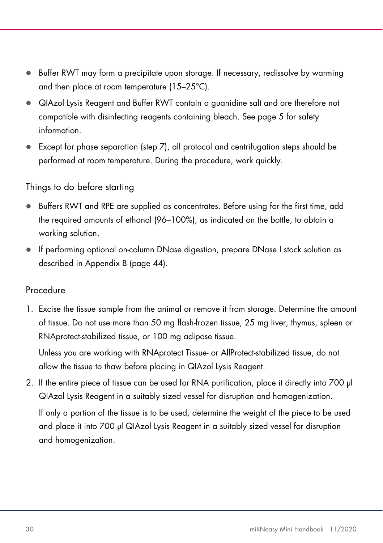- Buffer RWT may form a precipitate upon storage. If necessary, redissolve by warming and then place at room temperature (15–25°C).
- QIAzol Lysis Reagent and Buffer RWT contain a guanidine salt and are therefore not compatible with disinfecting reagents containing bleach. See page 5 for safety information.
- Except for phase separation (step 7), all protocol and centrifugation steps should be performed at room temperature. During the procedure, work quickly.

### Things to do before starting

- Buffers RWT and RPE are supplied as concentrates. Before using for the first time, add the required amounts of ethanol (96–100%), as indicated on the bottle, to obtain a working solution.
- If performing optional on-column DNase digestion, prepare DNase I stock solution as described in Appendix B (page 44).

### Procedure

1. Excise the tissue sample from the animal or remove it from storage. Determine the amount of tissue. Do not use more than 50 mg flash-frozen tissue, 25 mg liver, thymus, spleen or RNAprotect-stabilized tissue, or 100 mg adipose tissue.

Unless you are working with RNAprotect Tissue- or AllProtect-stabilized tissue, do not allow the tissue to thaw before placing in QIAzol Lysis Reagent.

2. If the entire piece of tissue can be used for RNA purification, place it directly into 700 µl QIAzol Lysis Reagent in a suitably sized vessel for disruption and homogenization. If only a portion of the tissue is to be used, determine the weight of the piece to be used

and place it into 700 µl QIAzol Lysis Reagent in a suitably sized vessel for disruption and homogenization.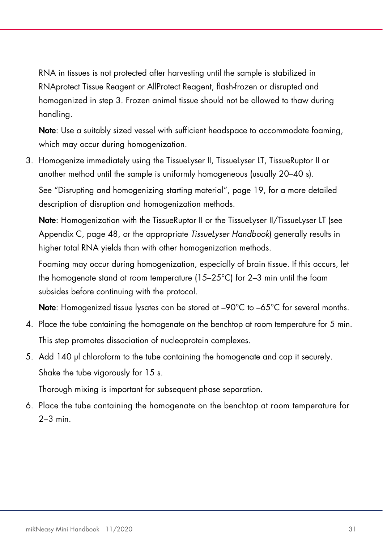RNA in tissues is not protected after harvesting until the sample is stabilized in RNAprotect Tissue Reagent or AllProtect Reagent, flash-frozen or disrupted and homogenized in step 3. Frozen animal tissue should not be allowed to thaw during handling.

Note: Use a suitably sized vessel with sufficient headspace to accommodate foaming, which may occur during homogenization.

3. Homogenize immediately using the TissueLyser II, TissueLyser LT, TissueRuptor II or another method until the sample is uniformly homogeneous (usually 20–40 s).

See "Disrupting and homogenizing starting material", page 19, for a more detailed description of disruption and homogenization methods.

Note: Homogenization with the TissueRuptor II or the TissueLyser II/TissueLyser LT (see Appendix C, page 48, or the appropriate TissueLyser Handbook) generally results in higher total RNA yields than with other homogenization methods.

Foaming may occur during homogenization, especially of brain tissue. If this occurs, let the homogenate stand at room temperature (15–25°C) for 2–3 min until the foam subsides before continuing with the protocol.

Note: Homogenized tissue lysates can be stored at –90°C to –65°C for several months.

- 4. Place the tube containing the homogenate on the benchtop at room temperature for 5 min. This step promotes dissociation of nucleoprotein complexes.
- 5. Add 140 µl chloroform to the tube containing the homogenate and cap it securely. Shake the tube vigorously for 15 s.

Thorough mixing is important for subsequent phase separation.

6. Place the tube containing the homogenate on the benchtop at room temperature for  $2-3$  min.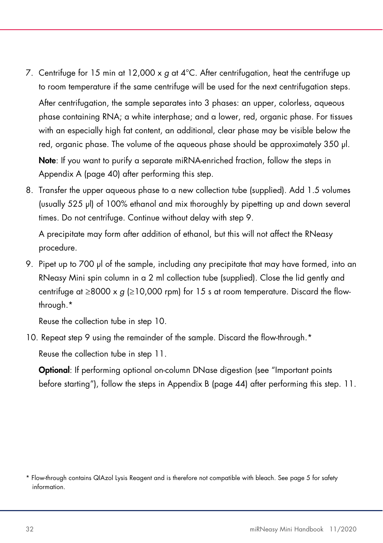7. Centrifuge for 15 min at 12,000  $\times$  g at 4°C. After centrifugation, heat the centrifuge up to room temperature if the same centrifuge will be used for the next centrifugation steps.

After centrifugation, the sample separates into 3 phases: an upper, colorless, aqueous phase containing RNA; a white interphase; and a lower, red, organic phase. For tissues with an especially high fat content, an additional, clear phase may be visible below the red, organic phase. The volume of the aqueous phase should be approximately 350 µl.

Note: If you want to purify a separate miRNA-enriched fraction, follow the steps in Appendix A (page 40) after performing this step.

8. Transfer the upper aqueous phase to a new collection tube (supplied). Add 1.5 volumes (usually 525 µl) of 100% ethanol and mix thoroughly by pipetting up and down several times. Do not centrifuge. Continue without delay with step 9.

A precipitate may form after addition of ethanol, but this will not affect the RNeasy procedure.

9. Pipet up to 700 µl of the sample, including any precipitate that may have formed, into an RNeasy Mini spin column in a 2 ml collection tube (supplied). Close the lid gently and centrifuge at ≥8000 x  $g$  (≥10,000 rpm) for 15 s at room temperature. Discard the flowthrough.\*

Reuse the collection tube in step 10.

10. Repeat step 9 using the remainder of the sample. Discard the flow-through.\*

Reuse the collection tube in step 11.

Optional: If performing optional on-column DNase digestion (see "Important points before starting"), follow the steps in Appendix B (page 44) after performing this step. 11.

<sup>\*</sup> Flow-through contains QIAzol Lysis Reagent and is therefore not compatible with bleach. See page 5 for safety information.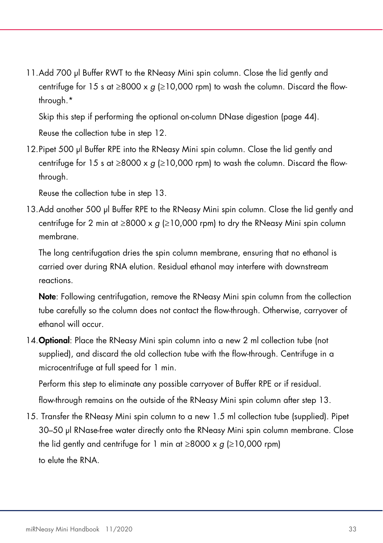11.Add 700 µl Buffer RWT to the RNeasy Mini spin column. Close the lid gently and centrifuge for 15 s at  $\geq 8000 \times g \geq 10,000$  rpm) to wash the column. Discard the flowthrough.\*

Skip this step if performing the optional on-column DNase digestion (page 44). Reuse the collection tube in step 12.

12.Pipet 500 µl Buffer RPE into the RNeasy Mini spin column. Close the lid gently and centrifuge for 15 s at  $\geq 8000 \times g \geq 10,000$  rpm) to wash the column. Discard the flowthrough.

Reuse the collection tube in step 13.

13.Add another 500 µl Buffer RPE to the RNeasy Mini spin column. Close the lid gently and centrifuge for 2 min at  $\geq$ 8000 x g ( $\geq$ 10,000 rpm) to dry the RNeasy Mini spin column membrane.

The long centrifugation dries the spin column membrane, ensuring that no ethanol is carried over during RNA elution. Residual ethanol may interfere with downstream reactions.

Note: Following centrifugation, remove the RNeasy Mini spin column from the collection tube carefully so the column does not contact the flow-through. Otherwise, carryover of ethanol will occur.

14. Optional: Place the RNeasy Mini spin column into a new 2 ml collection tube (not supplied), and discard the old collection tube with the flow-through. Centrifuge in a microcentrifuge at full speed for 1 min.

Perform this step to eliminate any possible carryover of Buffer RPE or if residual. flow-through remains on the outside of the RNeasy Mini spin column after step 13.

15. Transfer the RNeasy Mini spin column to a new 1.5 ml collection tube (supplied). Pipet 30–50 µl RNase-free water directly onto the RNeasy Mini spin column membrane. Close the lid gently and centrifuge for 1 min at ≥8000 x  $g$  (≥10,000 rpm) to elute the RNA.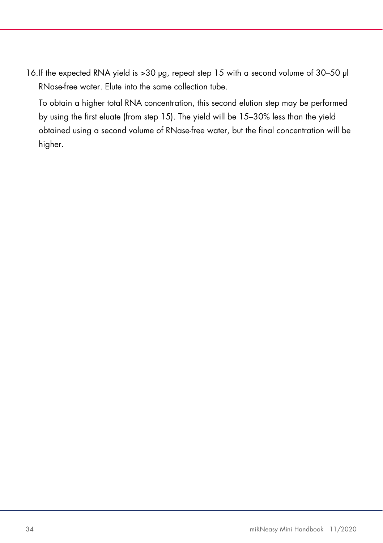16.If the expected RNA yield is >30 µg, repeat step 15 with a second volume of 30–50 µl RNase-free water. Elute into the same collection tube.

To obtain a higher total RNA concentration, this second elution step may be performed by using the first eluate (from step 15). The yield will be 15–30% less than the yield obtained using a second volume of RNase-free water, but the final concentration will be higher.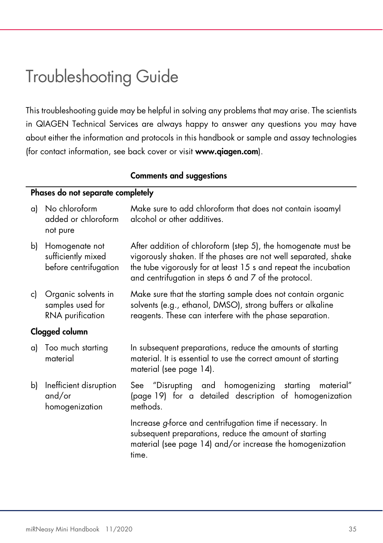# Troubleshooting Guide

This troubleshooting guide may be helpful in solving any problems that may arise. The scientists in QIAGEN Technical Services are always happy to answer any questions you may have about either the information and protocols in this handbook or sample and assay technologies (for contact information, see back cover or visit www.qiagen.com).

### Comments and suggestions

### Phases do not separate completely

| a) | No chloroform<br>added or chloroform<br>not pure              | Make sure to add chloroform that does not contain isoamyl<br>alcohol or other additives.                                                                                                                                                                   |  |  |
|----|---------------------------------------------------------------|------------------------------------------------------------------------------------------------------------------------------------------------------------------------------------------------------------------------------------------------------------|--|--|
| b) | Homogenate not<br>sufficiently mixed<br>before centrifugation | After addition of chloroform (step 5), the homogenate must be<br>vigorously shaken. If the phases are not well separated, shake<br>the tube vigorously for at least 15 s and repeat the incubation<br>and centrifugation in steps 6 and 7 of the protocol. |  |  |
| c) | Organic solvents in<br>samples used for<br>RNA purification   | Make sure that the starting sample does not contain organic<br>solvents (e.g., ethanol, DMSO), strong buffers or alkaline<br>reagents. These can interfere with the phase separation.                                                                      |  |  |
|    | Clogged column                                                |                                                                                                                                                                                                                                                            |  |  |
| a) | Too much starting<br>material                                 | In subsequent preparations, reduce the amounts of starting<br>material. It is essential to use the correct amount of starting<br>material (see page 14).                                                                                                   |  |  |
| b) | Inefficient disruption<br>and/or<br>homogenization            | See "Disrupting and homogenizing starting<br>material"<br>(page 19) for a detailed description of homogenization<br>methods.                                                                                                                               |  |  |
|    |                                                               | Increase g-force and centrifugation time if necessary. In<br>subsequent preparations, reduce the amount of starting<br>material (see page 14) and/or increase the homogenization<br>time.                                                                  |  |  |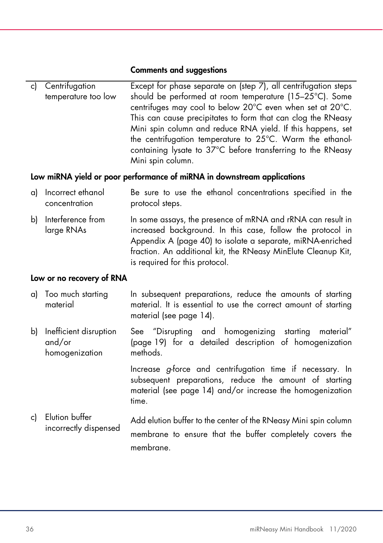| c) Centrifugation   | Except for phase separate on (step 7), all centrifugation steps |
|---------------------|-----------------------------------------------------------------|
| temperature too low | should be performed at room temperature (15-25°C). Some         |
|                     | centrifuges may cool to below 20°C even when set at 20°C.       |
|                     | This can cause precipitates to form that can clog the RNeasy    |
|                     | Mini spin column and reduce RNA yield. If this happens, set     |
|                     | the centrifugation temperature to 25°C. Warm the ethanol-       |
|                     | containing lysate to 37°C before transferring to the RNeasy     |
|                     | Mini spin column.                                               |

### Low miRNA yield or poor performance of miRNA in downstream applications

- a) Incorrect ethanol concentration Be sure to use the ethanol concentrations specified in the protocol steps.
- b) Interference from large RNAs In some assays, the presence of mRNA and rRNA can result in increased background. In this case, follow the protocol in Appendix A (page 40) to isolate a separate, miRNA-enriched fraction. An additional kit, the RNeasy MinElute Cleanup Kit, is required for this protocol.

#### Low or no recovery of RNA

- a) Too much starting material In subsequent preparations, reduce the amounts of starting material. It is essential to use the correct amount of starting material (see page 14).
- b) Inefficient disruption and/or homogenization See "Disrupting and homogenizing starting material" (page 19) for a detailed description of homogenization methods.

Increase g-force and centrifugation time if necessary. In subsequent preparations, reduce the amount of starting material (see page 14) and/or increase the homogenization time.

c) Elution buffer incorrectly dispensed Add elution buffer to the center of the RNeasy Mini spin column membrane to ensure that the buffer completely covers the membrane.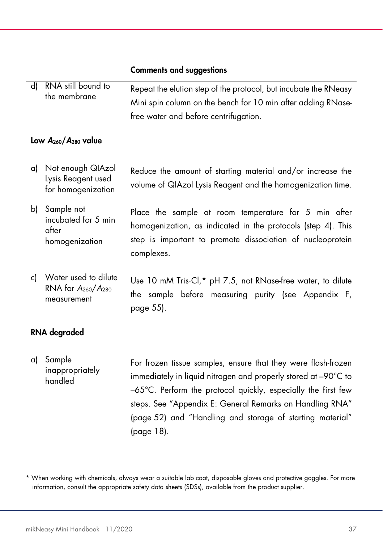d) RNA still bound to the membrane Repeat the elution step of the protocol, but incubate the RNeasy Mini spin column on the bench for 10 min after adding RNasefree water and before centrifugation.

#### Low A<sub>260</sub>/A<sub>280</sub> value

- a) Not enough QIAzol Lysis Reagent used for homogenization Reduce the amount of starting material and/or increase the volume of QIAzol Lysis Reagent and the homogenization time.
- b) Sample not incubated for 5 min after homogenization Place the sample at room temperature for 5 min after homogenization, as indicated in the protocols (step 4). This step is important to promote dissociation of nucleoprotein complexes.
- c) Water used to dilute RNA for A260/A<sup>280</sup> measurement Use 10 mM Tris·Cl,\* pH 7.5, not RNase-free water, to dilute the sample before measuring purity (see Appendix F, page 55).

#### RNA degraded

### a) Sample inappropriately handled

For frozen tissue samples, ensure that they were flash-frozen immediately in liquid nitrogen and properly stored at –90°C to –65°C. Perform the protocol quickly, especially the first few steps. See "Appendix E: General Remarks on Handling RNA" (page 52) and "Handling and storage of starting material" (page 18).

\* When working with chemicals, always wear a suitable lab coat, disposable gloves and protective goggles. For more information, consult the appropriate safety data sheets (SDSs), available from the product supplier.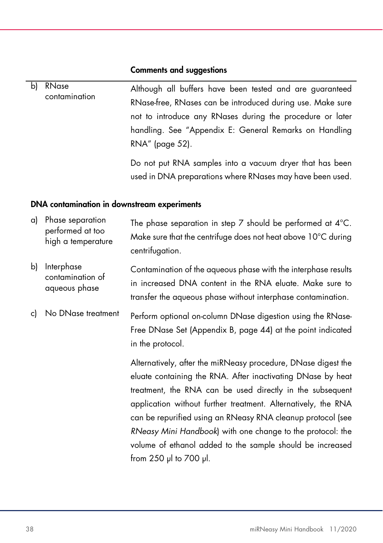| b) | RNase<br>contamination | Although all buffers have been tested and are guaranteed   |
|----|------------------------|------------------------------------------------------------|
|    |                        | RNase-free, RNases can be introduced during use. Make sure |
|    |                        | not to introduce any RNases during the procedure or later  |
|    |                        | handling. See "Appendix E: General Remarks on Handling     |
|    |                        | RNA" (page 52).                                            |
|    |                        | Do not put RNA samples into a vacuum dryer that has been   |
|    |                        | used in DNA preparations where RNases may have been used.  |

### DNA contamination in downstream experiments

| a) | Phase separation<br>performed at too<br>high a temperature | The phase separation in step 7 should be performed at $4^{\circ}$ C.<br>Make sure that the centrifuge does not heat above 10°C during<br>centrifugation.                                                                                                                                                                                                                                                                                                                           |
|----|------------------------------------------------------------|------------------------------------------------------------------------------------------------------------------------------------------------------------------------------------------------------------------------------------------------------------------------------------------------------------------------------------------------------------------------------------------------------------------------------------------------------------------------------------|
| b) | Interphase<br>contamination of<br>aqueous phase            | Contamination of the aqueous phase with the interphase results<br>in increased DNA content in the RNA eluate. Make sure to<br>transfer the aqueous phase without interphase contamination.                                                                                                                                                                                                                                                                                         |
| c) | No DNase treatment                                         | Perform optional on-column DNase digestion using the RNase-<br>Free DNase Set (Appendix B, page 44) at the point indicated<br>in the protocol.                                                                                                                                                                                                                                                                                                                                     |
|    |                                                            | Alternatively, after the miRNeasy procedure, DNase digest the<br>eluate containing the RNA. After inactivating DNase by heat<br>treatment, the RNA can be used directly in the subsequent<br>application without further treatment. Alternatively, the RNA<br>can be repurified using an RNeasy RNA cleanup protocol (see<br>RNeasy Mini Handbook) with one change to the protocol: the<br>volume of ethanol added to the sample should be increased<br>from $250$ µl to $700$ µl. |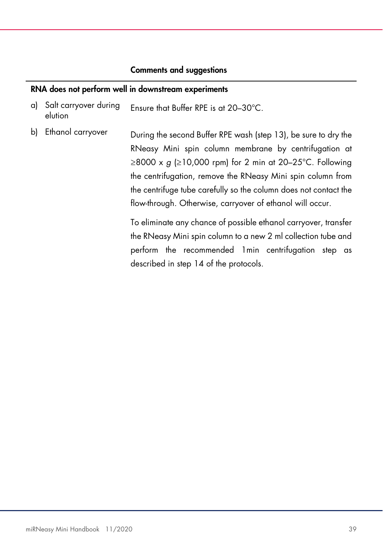#### RNA does not perform well in downstream experiments

- a) Salt carryover during elution Ensure that Buffer RPE is at 20–30°C.
- b) Ethanol carryover During the second Buffer RPE wash (step 13), be sure to dry the RNeasy Mini spin column membrane by centrifugation at ≥8000 x g (≥10,000 rpm) for 2 min at 20–25°C. Following the centrifugation, remove the RNeasy Mini spin column from the centrifuge tube carefully so the column does not contact the flow-through. Otherwise, carryover of ethanol will occur.

To eliminate any chance of possible ethanol carryover, transfer the RNeasy Mini spin column to a new 2 ml collection tube and perform the recommended 1min centrifugation step as described in step 14 of the protocols.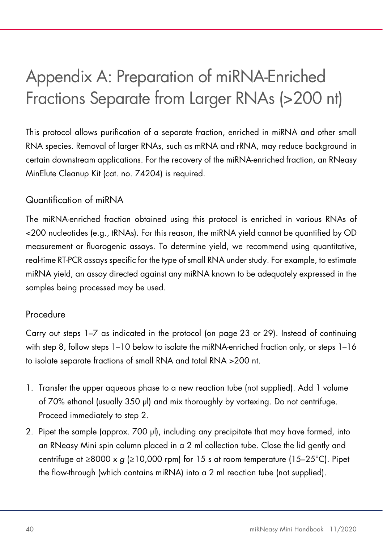# Appendix A: Preparation of miRNA-Enriched Fractions Separate from Larger RNAs (>200 nt)

This protocol allows purification of a separate fraction, enriched in miRNA and other small RNA species. Removal of larger RNAs, such as mRNA and rRNA, may reduce background in certain downstream applications. For the recovery of the miRNA-enriched fraction, an RNeasy MinElute Cleanup Kit (cat. no. 74204) is required.

# Quantification of miRNA

The miRNA-enriched fraction obtained using this protocol is enriched in various RNAs of <200 nucleotides (e.g., tRNAs). For this reason, the miRNA yield cannot be quantified by OD measurement or fluorogenic assays. To determine yield, we recommend using quantitative, real-time RT-PCR assays specific for the type of small RNA under study. For example, to estimate miRNA yield, an assay directed against any miRNA known to be adequately expressed in the samples being processed may be used.

# Procedure

Carry out steps 1–7 as indicated in the protocol (on page 23 or 29). Instead of continuing with step 8, follow steps 1–10 below to isolate the miRNA-enriched fraction only, or steps 1–16 to isolate separate fractions of small RNA and total RNA >200 nt.

- 1. Transfer the upper aqueous phase to a new reaction tube (not supplied). Add 1 volume of 70% ethanol (usually 350 µl) and mix thoroughly by vortexing. Do not centrifuge. Proceed immediately to step 2.
- 2. Pipet the sample (approx. 700 µl), including any precipitate that may have formed, into an RNeasy Mini spin column placed in a 2 ml collection tube. Close the lid gently and centrifuge at  $\geq$ 8000 x g ( $\geq$ 10,000 rpm) for 15 s at room temperature (15–25°C). Pipet the flow-through (which contains miRNA) into a 2 ml reaction tube (not supplied).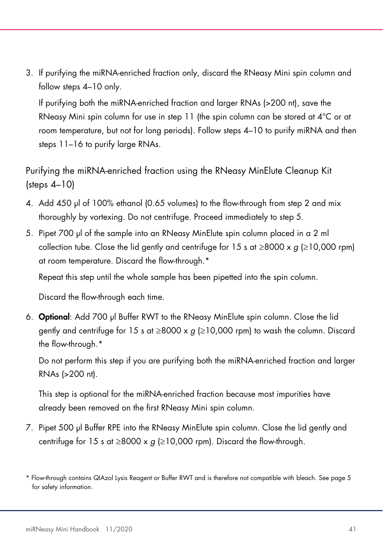3. If purifying the miRNA-enriched fraction only, discard the RNeasy Mini spin column and follow steps 4–10 only.

If purifying both the miRNA-enriched fraction and larger RNAs (>200 nt), save the RNeasy Mini spin column for use in step 11 (the spin column can be stored at  $4^{\circ}$ C or at room temperature, but not for long periods). Follow steps 4–10 to purify miRNA and then steps 11–16 to purify large RNAs.

Purifying the miRNA-enriched fraction using the RNeasy MinElute Cleanup Kit (steps 4–10)

- 4. Add 450 µl of 100% ethanol (0.65 volumes) to the flow-through from step 2 and mix thoroughly by vortexing. Do not centrifuge. Proceed immediately to step 5.
- 5. Pipet 700 µl of the sample into an RNeasy MinElute spin column placed in a 2 ml collection tube. Close the lid gently and centrifuge for 15 s at  $\geq 8000 \times g$  ( $\geq 10,000$  rpm) at room temperature. Discard the flow-through.\*

Repeat this step until the whole sample has been pipetted into the spin column.

Discard the flow-through each time.

6. Optional: Add 700 µl Buffer RWT to the RNeasy MinElute spin column. Close the lid gently and centrifuge for 15 s at  $\geq$ 8000 x g ( $\geq$ 10,000 rpm) to wash the column. Discard the flow-through.\*

Do not perform this step if you are purifying both the miRNA-enriched fraction and larger RNAs (>200 nt).

This step is optional for the miRNA-enriched fraction because most impurities have already been removed on the first RNeasy Mini spin column.

7. Pipet 500 µl Buffer RPE into the RNeasy MinElute spin column. Close the lid gently and centrifuge for 15 s at  $\geq$ 8000 x g ( $\geq$ 10,000 rpm). Discard the flow-through.

<sup>\*</sup> Flow-through contains QIAzol Lysis Reagent or Buffer RWT and is therefore not compatible with bleach. See page 5 for safety information.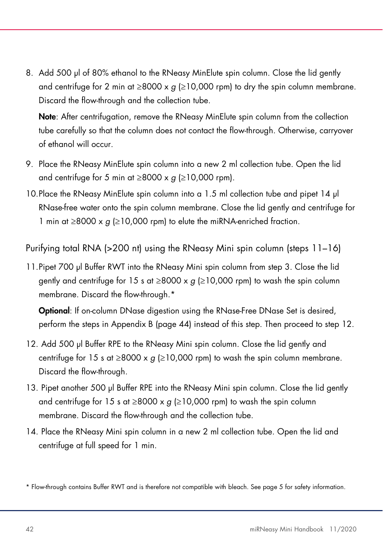8. Add 500 µl of 80% ethanol to the RNeasy MinElute spin column. Close the lid gently and centrifuge for 2 min at ≥8000 x  $q$  (≥10,000 rpm) to dry the spin column membrane. Discard the flow-through and the collection tube.

Note: After centrifugation, remove the RNeasy MinElute spin column from the collection tube carefully so that the column does not contact the flow-through. Otherwise, carryover of ethanol will occur.

- 9. Place the RNeasy MinElute spin column into a new 2 ml collection tube. Open the lid and centrifuge for 5 min at  $\geq$ 8000 x g ( $\geq$ 10,000 rpm).
- 10.Place the RNeasy MinElute spin column into a 1.5 ml collection tube and pipet 14 µl RNase-free water onto the spin column membrane. Close the lid gently and centrifuge for 1 min at ≥8000 x  $g$  (≥10,000 rpm) to elute the miRNA-enriched fraction.

Purifying total RNA (>200 nt) using the RNeasy Mini spin column (steps 11–16)

11.Pipet 700 µl Buffer RWT into the RNeasy Mini spin column from step 3. Close the lid gently and centrifuge for 15 s at  $\geq$ 8000 x g ( $\geq$ 10,000 rpm) to wash the spin column membrane. Discard the flow-through.\*

Optional: If on-column DNase digestion using the RNase-Free DNase Set is desired, perform the steps in Appendix B (page 44) instead of this step. Then proceed to step 12.

- 12. Add 500 µl Buffer RPE to the RNeasy Mini spin column. Close the lid gently and centrifuge for 15 s at  $\geq$ 8000 x g ( $\geq$ 10,000 rpm) to wash the spin column membrane. Discard the flow-through.
- 13. Pipet another 500 µl Buffer RPE into the RNeasy Mini spin column. Close the lid gently and centrifuge for 15 s at  $\geq$ 8000 x g ( $\geq$ 10,000 rpm) to wash the spin column membrane. Discard the flow-through and the collection tube.
- 14. Place the RNeasy Mini spin column in a new 2 ml collection tube. Open the lid and centrifuge at full speed for 1 min.

<sup>\*</sup> Flow-through contains Buffer RWT and is therefore not compatible with bleach. See page 5 for safety information.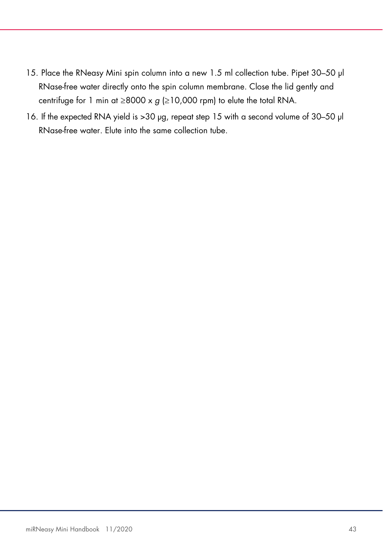- 15. Place the RNeasy Mini spin column into a new 1.5 ml collection tube. Pipet 30–50 µl RNase-free water directly onto the spin column membrane. Close the lid gently and centrifuge for 1 min at ≥8000 x  $g$  (≥10,000 rpm) to elute the total RNA.
- 16. If the expected RNA yield is >30 µg, repeat step 15 with a second volume of 30–50 µl RNase-free water. Elute into the same collection tube.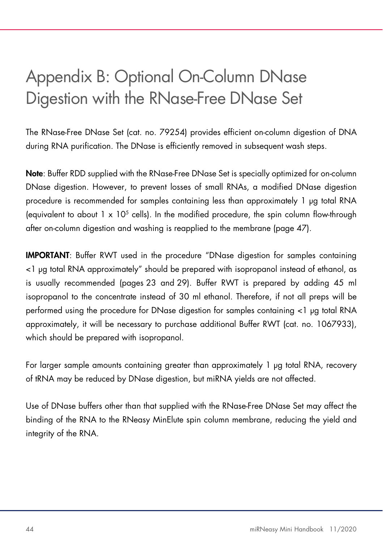# Appendix B: Optional On-Column DNase Digestion with the RNase-Free DNase Set

The RNase-Free DNase Set (cat. no. 79254) provides efficient on-column digestion of DNA during RNA purification. The DNase is efficiently removed in subsequent wash steps.

Note: Buffer RDD supplied with the RNase-Free DNase Set is specially optimized for on-column DNase digestion. However, to prevent losses of small RNAs, a modified DNase digestion procedure is recommended for samples containing less than approximately 1 µg total RNA (equivalent to about  $1 \times 10^5$  cells). In the modified procedure, the spin column flow-through after on-column digestion and washing is reapplied to the membrane (page 47).

IMPORTANT: Buffer RWT used in the procedure "DNase digestion for samples containing <1 µg total RNA approximately" should be prepared with isopropanol instead of ethanol, as is usually recommended (pages 23 and 29). Buffer RWT is prepared by adding 45 ml isopropanol to the concentrate instead of 30 ml ethanol. Therefore, if not all preps will be performed using the procedure for DNase digestion for samples containing <1 µg total RNA approximately, it will be necessary to purchase additional Buffer RWT (cat. no. 1067933), which should be prepared with isopropanol.

For larger sample amounts containing greater than approximately 1 µg total RNA, recovery of tRNA may be reduced by DNase digestion, but miRNA yields are not affected.

Use of DNase buffers other than that supplied with the RNase-Free DNase Set may affect the binding of the RNA to the RNeasy MinElute spin column membrane, reducing the yield and integrity of the RNA.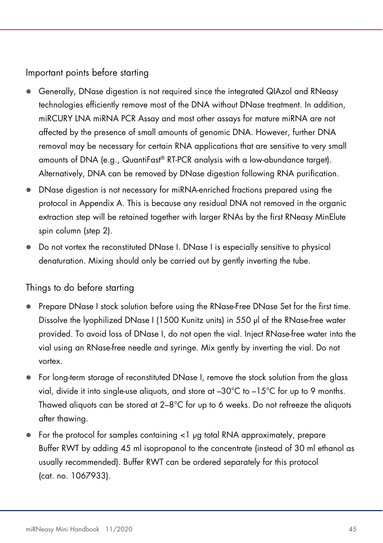Important points before starting

- Generally, DNase digestion is not required since the integrated QIAzol and RNeasy technologies efficiently remove most of the DNA without DNase treatment. In addition, miRCURY LNA miRNA PCR Assay and most other assays for mature miRNA are not affected by the presence of small amounts of genomic DNA. However, further DNA removal may be necessary for certain RNA applications that are sensitive to very small amounts of DNA (e.g., QuantiFast® RT-PCR analysis with a low-abundance target). Alternatively, DNA can be removed by DNase digestion following RNA purification.
- DNase digestion is not necessary for miRNA-enriched fractions prepared using the protocol in Appendix A. This is because any residual DNA not removed in the organic extraction step will be retained together with larger RNAs by the first RNeasy MinElute spin column (step 2).
- Do not vortex the reconstituted DNase I. DNase I is especially sensitive to physical denaturation. Mixing should only be carried out by gently inverting the tube.

# Things to do before starting

- Prepare DNase I stock solution before using the RNase-Free DNase Set for the first time. Dissolve the lyophilized DNase I (1500 Kunitz units) in 550 µl of the RNase-free water provided. To avoid loss of DNase I, do not open the vial. Inject RNase-free water into the vial using an RNase-free needle and syringe. Mix gently by inverting the vial. Do not vortex.
- For long-term storage of reconstituted DNase I, remove the stock solution from the glass vial, divide it into single-use aliquots, and store at  $-30^{\circ}$ C to  $-15^{\circ}$ C for up to 9 months. Thawed aliquots can be stored at  $2-8^{\circ}$ C for up to 6 weeks. Do not refreeze the aliquots after thawing.
- For the protocol for samples containing <1 µg total RNA approximately, prepare Buffer RWT by adding 45 ml isopropanol to the concentrate (instead of 30 ml ethanol as usually recommended). Buffer RWT can be ordered separately for this protocol (cat. no. 1067933).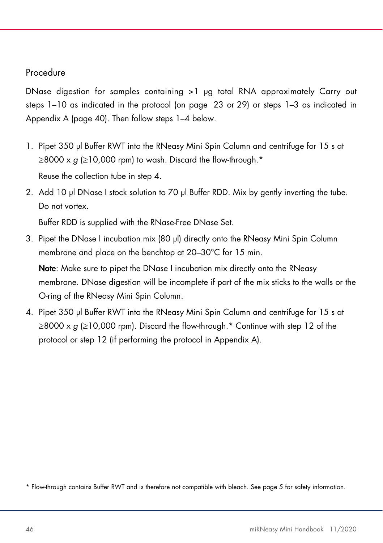# Procedure

DNase digestion for samples containing >1 µg total RNA approximately Carry out steps 1–10 as indicated in the protocol (on page 23 or 29) or steps 1–3 as indicated in Appendix A (page 40). Then follow steps 1–4 below.

- 1. Pipet 350 µl Buffer RWT into the RNeasy Mini Spin Column and centrifuge for 15 s at  $\geq$ 8000 x g ( $\geq$ 10,000 rpm) to wash. Discard the flow-through.\* Reuse the collection tube in step 4.
- 2. Add 10 µl DNase I stock solution to 70 µl Buffer RDD. Mix by gently inverting the tube. Do not vortex.

Buffer RDD is supplied with the RNase-Free DNase Set.

3. Pipet the DNase I incubation mix (80 µl) directly onto the RNeasy Mini Spin Column membrane and place on the benchtop at 20–30°C for 15 min.

Note: Make sure to pipet the DNase I incubation mix directly onto the RNeasy membrane. DNase digestion will be incomplete if part of the mix sticks to the walls or the O-ring of the RNeasy Mini Spin Column.

4. Pipet 350 µl Buffer RWT into the RNeasy Mini Spin Column and centrifuge for 15 s at  $\geq$ 8000 x g ( $\geq$ 10,000 rpm). Discard the flow-through.\* Continue with step 12 of the protocol or step 12 (if performing the protocol in Appendix A).

\* Flow-through contains Buffer RWT and is therefore not compatible with bleach. See page 5 for safety information.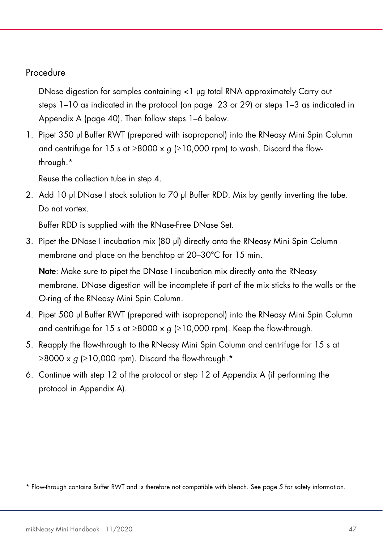### Procedure

DNase digestion for samples containing <1 µg total RNA approximately Carry out steps 1–10 as indicated in the protocol (on page 23 or 29) or steps 1–3 as indicated in Appendix A (page 40). Then follow steps 1–6 below.

1. Pipet 350 µl Buffer RWT (prepared with isopropanol) into the RNeasy Mini Spin Column and centrifuge for 15 s at  $\geq 8000 \times g$  ( $\geq 10,000$  rpm) to wash. Discard the flowthrough.\*

Reuse the collection tube in step 4.

2. Add 10 µl DNase I stock solution to 70 µl Buffer RDD. Mix by gently inverting the tube. Do not vortex.

Buffer RDD is supplied with the RNase-Free DNase Set.

3. Pipet the DNase I incubation mix (80 µl) directly onto the RNeasy Mini Spin Column membrane and place on the benchtop at 20–30°C for 15 min.

Note: Make sure to pipet the DNase I incubation mix directly onto the RNeasy membrane. DNase digestion will be incomplete if part of the mix sticks to the walls or the O-ring of the RNeasy Mini Spin Column.

- 4. Pipet 500 µl Buffer RWT (prepared with isopropanol) into the RNeasy Mini Spin Column and centrifuge for 15 s at  $\geq 8000 \times g \geq 10,000$  rpm). Keep the flow-through.
- 5. Reapply the flow-through to the RNeasy Mini Spin Column and centrifuge for 15 s at  $\geq$ 8000 x g ( $\geq$ 10,000 rpm). Discard the flow-through.\*
- 6. Continue with step 12 of the protocol or step 12 of Appendix A (if performing the protocol in Appendix A).

\* Flow-through contains Buffer RWT and is therefore not compatible with bleach. See page 5 for safety information.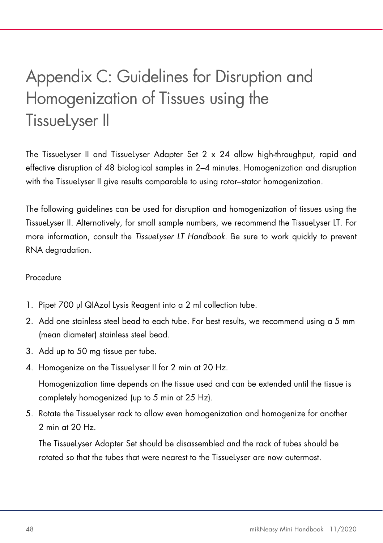# Appendix C: Guidelines for Disruption and Homogenization of Tissues using the TissueLyser II

The TissueLyser II and TissueLyser Adapter Set 2 x 24 allow high-throughput, rapid and effective disruption of 48 biological samples in 2–4 minutes. Homogenization and disruption with the TissueLyser II give results comparable to using rotor–stator homogenization.

The following guidelines can be used for disruption and homogenization of tissues using the TissueLyser II. Alternatively, for small sample numbers, we recommend the TissueLyser LT. For more information, consult the TissueLyser LT Handbook. Be sure to work quickly to prevent RNA degradation.

### Procedure

- 1. Pipet 700 µl QIAzol Lysis Reagent into a 2 ml collection tube.
- 2. Add one stainless steel bead to each tube. For best results, we recommend using a 5 mm (mean diameter) stainless steel bead.
- 3. Add up to 50 mg tissue per tube.
- 4. Homogenize on the TissueLyser II for 2 min at 20 Hz.

Homogenization time depends on the tissue used and can be extended until the tissue is completely homogenized (up to 5 min at 25 Hz).

5. Rotate the TissueLyser rack to allow even homogenization and homogenize for another 2 min at 20 Hz.

The TissueLyser Adapter Set should be disassembled and the rack of tubes should be rotated so that the tubes that were nearest to the TissueLyser are now outermost.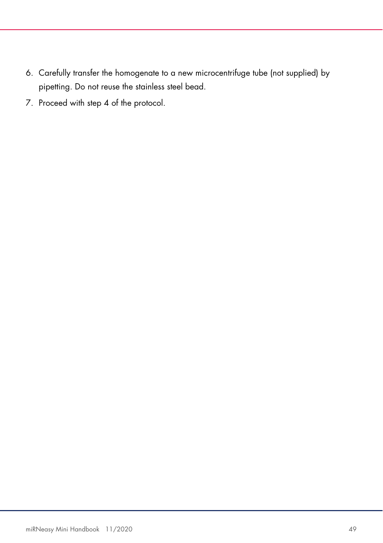- 6. Carefully transfer the homogenate to a new microcentrifuge tube (not supplied) by pipetting. Do not reuse the stainless steel bead.
- 7. Proceed with step 4 of the protocol.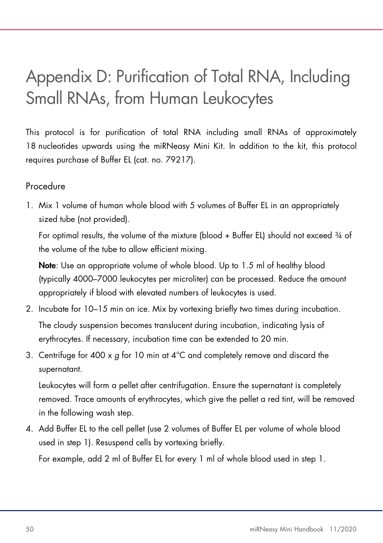# Appendix D: Purification of Total RNA, Including Small RNAs, from Human Leukocytes

This protocol is for purification of total RNA including small RNAs of approximately 18 nucleotides upwards using the miRNeasy Mini Kit. In addition to the kit, this protocol requires purchase of Buffer EL (cat. no. 79217).

# Procedure

1. Mix 1 volume of human whole blood with 5 volumes of Buffer EL in an appropriately sized tube (not provided).

For optimal results, the volume of the mixture (blood + Buffer EL) should not exceed 34 of the volume of the tube to allow efficient mixing.

Note: Use an appropriate volume of whole blood. Up to 1.5 ml of healthy blood (typically 4000–7000 leukocytes per microliter) can be processed. Reduce the amount appropriately if blood with elevated numbers of leukocytes is used.

- 2. Incubate for 10–15 min on ice. Mix by vortexing briefly two times during incubation. The cloudy suspension becomes translucent during incubation, indicating lysis of erythrocytes. If necessary, incubation time can be extended to 20 min.
- 3. Centrifuge for 400 x g for 10 min at  $4^{\circ}$ C and completely remove and discard the supernatant.

Leukocytes will form a pellet after centrifugation. Ensure the supernatant is completely removed. Trace amounts of erythrocytes, which give the pellet a red tint, will be removed in the following wash step.

4. Add Buffer EL to the cell pellet (use 2 volumes of Buffer EL per volume of whole blood used in step 1). Resuspend cells by vortexing briefly.

For example, add 2 ml of Buffer EL for every 1 ml of whole blood used in step 1.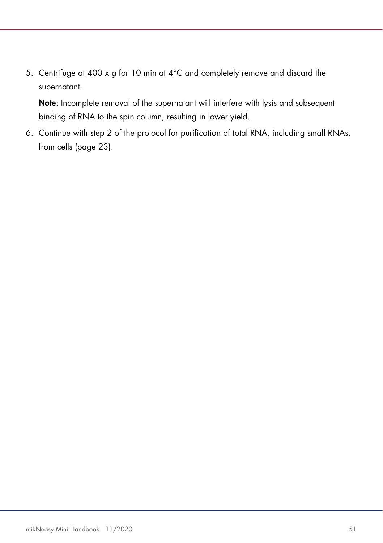5. Centrifuge at 400 x g for 10 min at 4°C and completely remove and discard the supernatant.

Note: Incomplete removal of the supernatant will interfere with lysis and subsequent binding of RNA to the spin column, resulting in lower yield.

6. Continue with step 2 of the protocol for purification of total RNA, including small RNAs, from cells (page 23).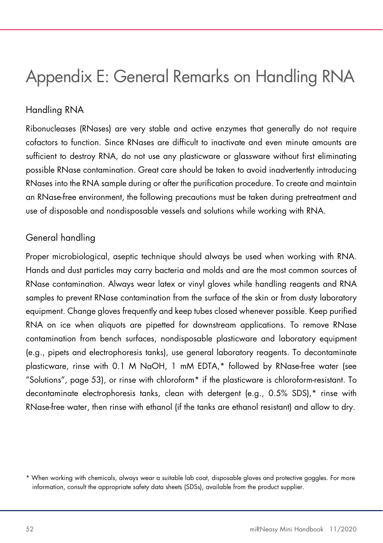# Appendix E: General Remarks on Handling RNA

# Handling RNA

Ribonucleases (RNases) are very stable and active enzymes that generally do not require cofactors to function. Since RNases are difficult to inactivate and even minute amounts are sufficient to destroy RNA, do not use any plasticware or glassware without first eliminating possible RNase contamination. Great care should be taken to avoid inadvertently introducing RNases into the RNA sample during or after the purification procedure. To create and maintain an RNase-free environment, the following precautions must be taken during pretreatment and use of disposable and nondisposable vessels and solutions while working with RNA.

### General handling

Proper microbiological, aseptic technique should always be used when working with RNA. Hands and dust particles may carry bacteria and molds and are the most common sources of RNase contamination. Always wear latex or vinyl gloves while handling reagents and RNA samples to prevent RNase contamination from the surface of the skin or from dusty laboratory equipment. Change gloves frequently and keep tubes closed whenever possible. Keep purified RNA on ice when aliquots are pipetted for downstream applications. To remove RNase contamination from bench surfaces, nondisposable plasticware and laboratory equipment (e.g., pipets and electrophoresis tanks), use general laboratory reagents. To decontaminate plasticware, rinse with 0.1 M NaOH, 1 mM EDTA,\* followed by RNase-free water (see "Solutions", page 53), or rinse with chloroform\* if the plasticware is chloroform-resistant. To decontaminate electrophoresis tanks, clean with detergent (e.g., 0.5% SDS),\* rinse with RNase-free water, then rinse with ethanol (if the tanks are ethanol resistant) and allow to dry.

<sup>\*</sup> When working with chemicals, always wear a suitable lab coat, disposable gloves and protective goggles. For more information, consult the appropriate safety data sheets (SDSs), available from the product supplier.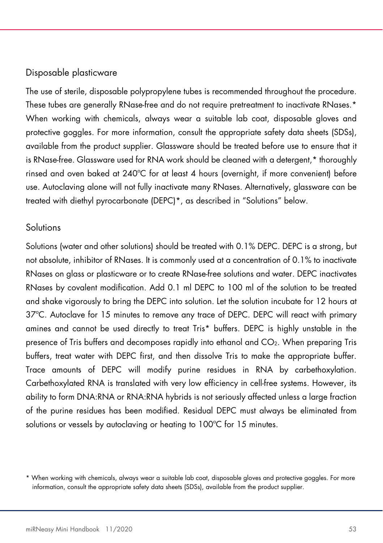### Disposable plasticware

The use of sterile, disposable polypropylene tubes is recommended throughout the procedure. These tubes are generally RNase-free and do not require pretreatment to inactivate RNases.\* When working with chemicals, always wear a suitable lab coat, disposable gloves and protective goggles. For more information, consult the appropriate safety data sheets (SDSs), available from the product supplier. Glassware should be treated before use to ensure that it is RNase-free. Glassware used for RNA work should be cleaned with a detergent,\* thoroughly rinsed and oven baked at 240ºC for at least 4 hours (overnight, if more convenient) before use. Autoclaving alone will not fully inactivate many RNases. Alternatively, glassware can be treated with diethyl pyrocarbonate (DEPC)\*, as described in "Solutions" below.

### Solutions

Solutions (water and other solutions) should be treated with 0.1% DEPC. DEPC is a strong, but not absolute, inhibitor of RNases. It is commonly used at a concentration of 0.1% to inactivate RNases on glass or plasticware or to create RNase-free solutions and water. DEPC inactivates RNases by covalent modification. Add 0.1 ml DEPC to 100 ml of the solution to be treated and shake vigorously to bring the DEPC into solution. Let the solution incubate for 12 hours at 37ºC. Autoclave for 15 minutes to remove any trace of DEPC. DEPC will react with primary amines and cannot be used directly to treat Tris\* buffers. DEPC is highly unstable in the presence of Tris buffers and decomposes rapidly into ethanol and CO2. When preparing Tris buffers, treat water with DEPC first, and then dissolve Tris to make the appropriate buffer. Trace amounts of DEPC will modify purine residues in RNA by carbethoxylation. Carbethoxylated RNA is translated with very low efficiency in cell-free systems. However, its ability to form DNA:RNA or RNA:RNA hybrids is not seriously affected unless a large fraction of the purine residues has been modified. Residual DEPC must always be eliminated from solutions or vessels by autoclaving or heating to 100°C for 15 minutes.

<sup>\*</sup> When working with chemicals, always wear a suitable lab coat, disposable gloves and protective goggles. For more information, consult the appropriate safety data sheets (SDSs), available from the product supplier.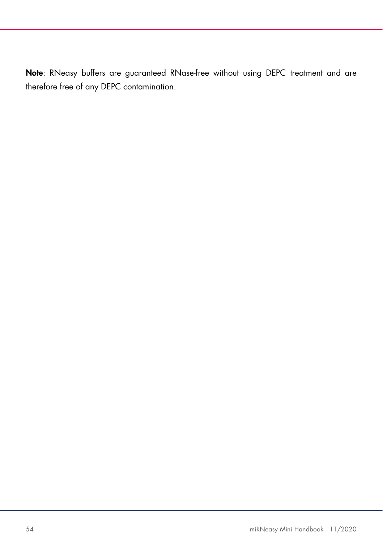Note: RNeasy buffers are guaranteed RNase-free without using DEPC treatment and are therefore free of any DEPC contamination.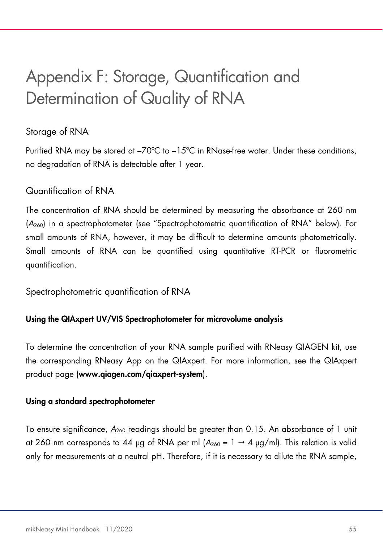# Appendix F: Storage, Quantification and Determination of Quality of RNA

# Storage of RNA

Purified RNA may be stored at –70ºC to –15ºC in RNase-free water. Under these conditions, no degradation of RNA is detectable after 1 year.

# Quantification of RNA

The concentration of RNA should be determined by measuring the absorbance at 260 nm (A260) in a spectrophotometer (see "Spectrophotometric quantification of RNA" below). For small amounts of RNA, however, it may be difficult to determine amounts photometrically. Small amounts of RNA can be quantified using quantitative RT-PCR or fluorometric quantification.

Spectrophotometric quantification of RNA

### Using the QIAxpert UV/VIS Spectrophotometer for microvolume analysis

To determine the concentration of your RNA sample purified with RNeasy QIAGEN kit, use the corresponding RNeasy App on the QIAxpert. For more information, see the QIAxpert product page (www.qiagen.com/qiaxpert-system).

### Using a standard spectrophotometer

To ensure significance,  $A_{260}$  readings should be greater than 0.15. An absorbance of 1 unit at 260 nm corresponds to 44 µg of RNA per ml  $(A_{260} = 1 \rightarrow 4 \text{ µg/ml})$ . This relation is valid only for measurements at a neutral pH. Therefore, if it is necessary to dilute the RNA sample,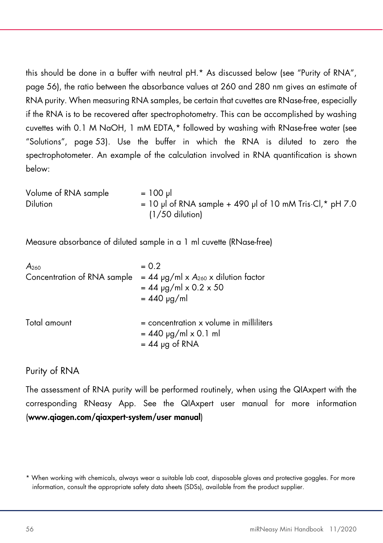this should be done in a buffer with neutral pH.\* As discussed below (see "Purity of RNA", page 56), the ratio between the absorbance values at 260 and 280 nm gives an estimate of RNA purity. When measuring RNA samples, be certain that cuvettes are RNase-free, especially if the RNA is to be recovered after spectrophotometry. This can be accomplished by washing cuvettes with 0.1 M NaOH, 1 mM EDTA,\* followed by washing with RNase-free water (see "Solutions", page 53). Use the buffer in which the RNA is diluted to zero the spectrophotometer. An example of the calculation involved in RNA quantification is shown below:

| Volume of RNA sample | $= 100 \text{ pl}$                                                 |
|----------------------|--------------------------------------------------------------------|
| <b>Dilution</b>      | $= 10$ µl of RNA sample + 490 µl of 10 mM Tris $\cdot$ Cl,* pH 7.0 |
|                      | $(1/50$ dilution)                                                  |

Measure absorbance of diluted sample in a 1 ml cuvette (RNase-free)

| A <sub>260</sub>            | $= 0.2$                                                                                        |
|-----------------------------|------------------------------------------------------------------------------------------------|
| Concentration of RNA sample | $= 44$ µg/ml x A <sub>260</sub> x dilution factor<br>$= 44$ µg/ml x 0.2 x 50                   |
|                             | $= 440 \mu g/ml$                                                                               |
| Total amount                | $=$ concentration $\times$ volume in milliliters<br>$= 440$ µg/ml x 0.1 ml<br>$= 44$ µg of RNA |

# Purity of RNA

The assessment of RNA purity will be performed routinely, when using the QIAxpert with the corresponding RNeasy App. See the QIAxpert user manual for more information (www.qiagen.com/qiaxpert-system/user manual)

<sup>\*</sup> When working with chemicals, always wear a suitable lab coat, disposable gloves and protective goggles. For more information, consult the appropriate safety data sheets (SDSs), available from the product supplier.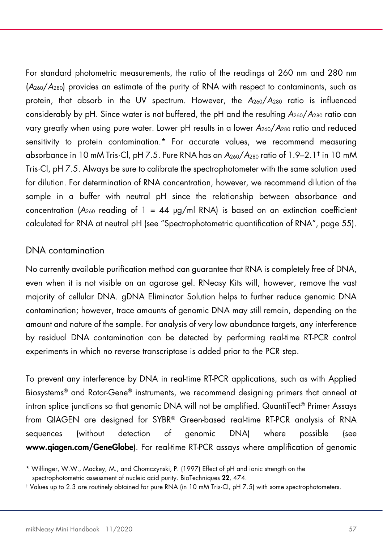For standard photometric measurements, the ratio of the readings at 260 nm and 280 nm (A260/A280) provides an estimate of the purity of RNA with respect to contaminants, such as protein, that absorb in the UV spectrum. However, the  $A_{260}/A_{280}$  ratio is influenced considerably by pH. Since water is not buffered, the pH and the resulting  $A_{260}/A_{280}$  ratio can vary greatly when using pure water. Lower pH results in a lower  $A_{260}/A_{280}$  ratio and reduced sensitivity to protein contamination.\* For accurate values, we recommend measuring absorbance in 10 mM Tris·Cl, pH 7.5. Pure RNA has an A260/A280 ratio of 1.9–2.1† in 10 mM Tris·Cl, pH 7.5. Always be sure to calibrate the spectrophotometer with the same solution used for dilution. For determination of RNA concentration, however, we recommend dilution of the sample in a buffer with neutral pH since the relationship between absorbance and concentration ( $A_{260}$  reading of 1 = 44  $\mu$ g/ml RNA) is based on an extinction coefficient calculated for RNA at neutral pH (see "Spectrophotometric quantification of RNA", page 55).

### DNA contamination

No currently available purification method can guarantee that RNA is completely free of DNA, even when it is not visible on an agarose gel. RNeasy Kits will, however, remove the vast majority of cellular DNA. gDNA Eliminator Solution helps to further reduce genomic DNA contamination; however, trace amounts of genomic DNA may still remain, depending on the amount and nature of the sample. For analysis of very low abundance targets, any interference by residual DNA contamination can be detected by performing real-time RT-PCR control experiments in which no reverse transcriptase is added prior to the PCR step.

To prevent any interference by DNA in real-time RT-PCR applications, such as with Applied Biosystems® and Rotor-Gene® instruments, we recommend designing primers that anneal at intron splice junctions so that genomic DNA will not be amplified. QuantiTect® Primer Assays from QIAGEN are designed for SYBR® Green-based real-time RT-PCR analysis of RNA sequences (without detection of genomic DNA) where possible (see www.qiagen.com/GeneGlobe). For real-time RT-PCR assays where amplification of genomic

<sup>\*</sup> Wilfinger, W.W., Mackey, M., and Chomczynski, P. (1997) Effect of pH and ionic strength on the spectrophotometric assessment of nucleic acid purity. BioTechniques 22, 474.

<sup>†</sup> Values up to 2.3 are routinely obtained for pure RNA (in 10 mM Tris·Cl, pH 7.5) with some spectrophotometers.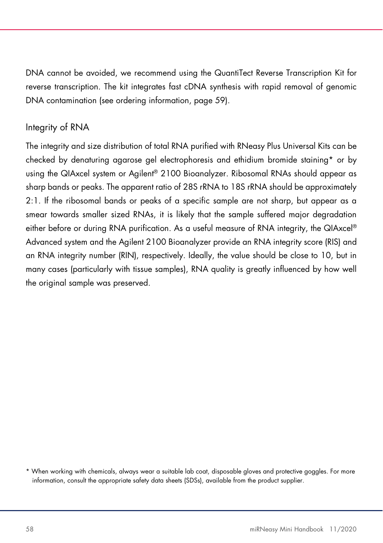DNA cannot be avoided, we recommend using the QuantiTect Reverse Transcription Kit for reverse transcription. The kit integrates fast cDNA synthesis with rapid removal of genomic DNA contamination (see ordering information, page 59).

# Integrity of RNA

The integrity and size distribution of total RNA purified with RNeasy Plus Universal Kits can be checked by denaturing agarose gel electrophoresis and ethidium bromide staining\* or by using the QIAxcel system or Agilent® 2100 Bioanalyzer. Ribosomal RNAs should appear as sharp bands or peaks. The apparent ratio of 28S rRNA to 18S rRNA should be approximately 2:1. If the ribosomal bands or peaks of a specific sample are not sharp, but appear as a smear towards smaller sized RNAs, it is likely that the sample suffered major degradation either before or during RNA purification. As a useful measure of RNA integrity, the QIAxcel® Advanced system and the Agilent 2100 Bioanalyzer provide an RNA integrity score (RIS) and an RNA integrity number (RIN), respectively. Ideally, the value should be close to 10, but in many cases (particularly with tissue samples), RNA quality is greatly influenced by how well the original sample was preserved.

<sup>\*</sup> When working with chemicals, always wear a suitable lab coat, disposable gloves and protective goggles. For more information, consult the appropriate safety data sheets (SDSs), available from the product supplier.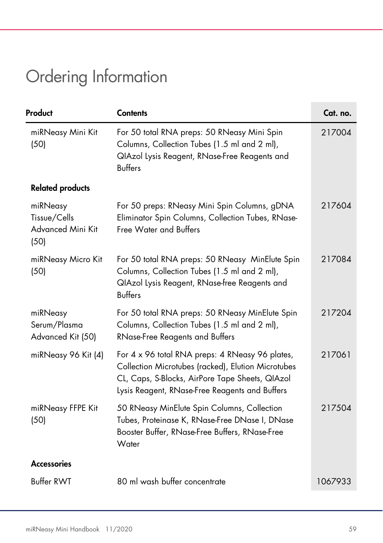# Ordering Information

| Product                                               | <b>Contents</b>                                                                                                                                                                                            | Cat. no. |
|-------------------------------------------------------|------------------------------------------------------------------------------------------------------------------------------------------------------------------------------------------------------------|----------|
| miRNeasy Mini Kit<br>(50)                             | For 50 total RNA preps: 50 RNeasy Mini Spin<br>Columns, Collection Tubes (1.5 ml and 2 ml),<br>QIAzol Lysis Reagent, RNase-Free Reagents and<br><b>Buffers</b>                                             | 217004   |
| <b>Related products</b>                               |                                                                                                                                                                                                            |          |
| miRNeasy<br>Tissue/Cells<br>Advanced Mini Kit<br>(50) | For 50 preps: RNeasy Mini Spin Columns, gDNA<br>Eliminator Spin Columns, Collection Tubes, RNase-<br><b>Free Water and Buffers</b>                                                                         | 217604   |
| miRNeasy Micro Kit<br>(50)                            | For 50 total RNA preps: 50 RNeasy MinElute Spin<br>Columns, Collection Tubes (1.5 ml and 2 ml),<br>QIAzol Lysis Reagent, RNase-free Reagents and<br><b>Buffers</b>                                         | 217084   |
| miRNeasy<br>Serum/Plasma<br>Advanced Kit (50)         | For 50 total RNA preps: 50 RNeasy MinElute Spin<br>Columns, Collection Tubes (1.5 ml and 2 ml),<br>RNase-Free Reagents and Buffers                                                                         | 217204   |
| miRNeasy 96 Kit (4)                                   | For 4 x 96 total RNA preps: 4 RNeasy 96 plates,<br>Collection Microtubes (racked), Elution Microtubes<br>CL, Caps, S-Blocks, AirPore Tape Sheets, QIAzol<br>Lysis Reagent, RNase-Free Reagents and Buffers | 217061   |
| miRNeasy FFPE Kit<br>(50)                             | 50 RNeasy MinElute Spin Columns, Collection<br>Tubes, Proteinase K, RNase-Free DNase I, DNase<br>Booster Buffer, RNase-Free Buffers, RNase-Free<br>Water                                                   | 217504   |
| <b>Accessories</b>                                    |                                                                                                                                                                                                            |          |
| <b>Buffer RWT</b>                                     | 80 ml wash buffer concentrate                                                                                                                                                                              | 1067933  |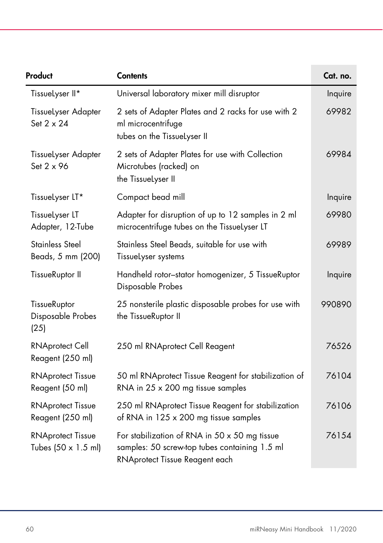| Product                                         | <b>Contents</b>                                                                                                                         | Cat. no. |
|-------------------------------------------------|-----------------------------------------------------------------------------------------------------------------------------------------|----------|
| TissueLyser II*                                 | Universal laboratory mixer mill disruptor                                                                                               | Inquire  |
| <b>Tissuelyser Adapter</b><br>Set 2 x 24        | 2 sets of Adapter Plates and 2 racks for use with 2<br>ml microcentrifuge<br>tubes on the TissueLyser II                                | 69982    |
| <b>Tissuelyser Adapter</b><br>Set 2 x 96        | 2 sets of Adapter Plates for use with Collection<br>Microtubes (racked) on<br>the TissueLyser II                                        | 69984    |
| TissueLyser LT*                                 | Compact bead mill                                                                                                                       | Inquire  |
| TissueLyser LT<br>Adapter, 12-Tube              | Adapter for disruption of up to 12 samples in 2 ml<br>microcentrifuge tubes on the TissueLyser LT                                       | 69980    |
| <b>Stainless Steel</b><br>Beads, 5 mm (200)     | Stainless Steel Beads, suitable for use with<br>Tissuelyser systems                                                                     | 69989    |
| TissueRuptor II                                 | Handheld rotor-stator homogenizer, 5 TissueRuptor<br>Disposable Probes                                                                  | Inquire  |
| TissueRuptor<br>Disposable Probes<br>(25)       | 25 nonsterile plastic disposable probes for use with<br>the TissueRuptor II                                                             | 990890   |
| <b>RNAprotect Cell</b><br>Reagent (250 ml)      | 250 ml RNAprotect Cell Reagent                                                                                                          | 76526    |
| <b>RNAprotect Tissue</b><br>Reagent (50 ml)     | 50 ml RNAprotect Tissue Reagent for stabilization of<br>RNA in 25 x 200 mg tissue samples                                               | 76104    |
| <b>RNAprotect Tissue</b><br>Reagent (250 ml)    | 250 ml RNAprotect Tissue Reagent for stabilization<br>of RNA in 125 x 200 mg tissue samples                                             | 76106    |
| <b>RNAprotect Tissue</b><br>Tubes (50 x 1.5 ml) | For stabilization of RNA in $50 \times 50$ mg tissue<br>samples: 50 screw-top tubes containing 1.5 ml<br>RNAprotect Tissue Reagent each | 76154    |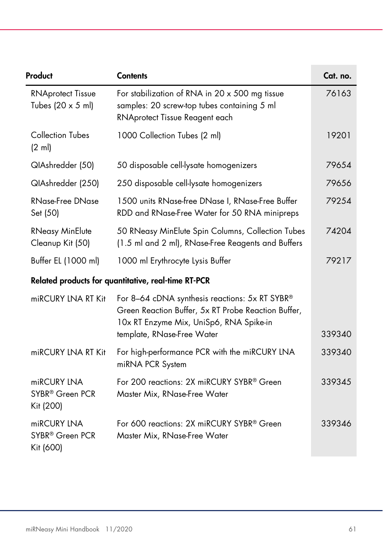| Product                                                      | <b>Contents</b>                                                                                                                                                                | Cat. no. |
|--------------------------------------------------------------|--------------------------------------------------------------------------------------------------------------------------------------------------------------------------------|----------|
| <b>RNAprotect Tissue</b><br>Tubes $(20 \times 5 \text{ ml})$ | For stabilization of RNA in 20 x 500 mg tissue<br>samples: 20 screw-top tubes containing 5 ml<br>RNAprotect Tissue Reagent each                                                | 76163    |
| <b>Collection Tubes</b><br>$(2 \text{ ml})$                  | 1000 Collection Tubes (2 ml)                                                                                                                                                   | 19201    |
| QIAshredder (50)                                             | 50 disposable cell-lysate homogenizers                                                                                                                                         | 79654    |
| QIAshredder (250)                                            | 250 disposable cell-lysate homogenizers                                                                                                                                        | 79656    |
| <b>RNase-Free DNase</b><br>Set (50)                          | 1500 units RNase-free DNase I, RNase-Free Buffer<br>RDD and RNase-Free Water for 50 RNA minipreps                                                                              | 79254    |
| <b>RNeasy MinElute</b><br>Cleanup Kit (50)                   | 50 RNeasy MinElute Spin Columns, Collection Tubes<br>(1.5 ml and 2 ml), RNase-Free Reagents and Buffers                                                                        | 74204    |
| Buffer EL (1000 ml)                                          | 1000 ml Erythrocyte Lysis Buffer                                                                                                                                               | 79217    |
|                                                              | Related products for quantitative, real-time RT-PCR                                                                                                                            |          |
| miRCURY LNA RT Kit                                           | For 8-64 cDNA synthesis reactions: 5x RT SYBR®<br>Green Reaction Buffer, 5x RT Probe Reaction Buffer,<br>10x RT Enzyme Mix, UniSp6, RNA Spike-in<br>template, RNase-Free Water | 339340   |
| miRCURY LNA RT Kit                                           | For high-performance PCR with the miRCURY LNA<br>miRNA PCR System                                                                                                              | 339340   |
| miRCURY LNA<br>SYBR <sup>®</sup> Green PCR<br>Kit (200)      | For 200 reactions: 2X miRCURY SYBR® Green<br>Master Mix, RNase-Free Water                                                                                                      | 339345   |
| miRCURY LNA<br>SYBR® Green PCR<br>Kit (600)                  | For 600 reactions: 2X miRCURY SYBR® Green<br>Master Mix, RNase-Free Water                                                                                                      | 339346   |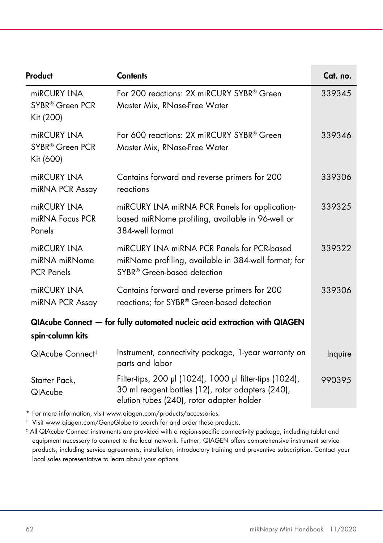| Product                                                                                       | <b>Contents</b>                                                                                                                                           | Cat. no. |
|-----------------------------------------------------------------------------------------------|-----------------------------------------------------------------------------------------------------------------------------------------------------------|----------|
| miRCURY LNA<br>SYBR <sup>®</sup> Green PCR<br>Kit (200)                                       | For 200 reactions: 2X miRCURY SYBR® Green<br>Master Mix, RNase-Free Water                                                                                 | 339345   |
| miRCURY LNA<br>SYBR <sup>®</sup> Green PCR<br>Kit (600)                                       | For 600 reactions: 2X miRCURY SYBR® Green<br>Master Mix, RNase-Free Water                                                                                 | 339346   |
| miRCURY LNA<br>miRNA PCR Assay                                                                | Contains forward and reverse primers for 200<br>reactions                                                                                                 | 339306   |
| miRCURY LNA<br>miRNA Focus PCR<br>Panels                                                      | miRCURY LNA miRNA PCR Panels for application-<br>based miRNome profiling, available in 96-well or<br>384-well format                                      | 339325   |
| miRCURY LNA<br>miRNA miRNome<br><b>PCR Panels</b>                                             | miRCURY LNA miRNA PCR Panels for PCR-based<br>miRNome profiling, available in 384-well format; for<br>SYBR <sup>®</sup> Green-based detection             | 339322   |
| miRCURY LNA<br>miRNA PCR Assay                                                                | Contains forward and reverse primers for 200<br>reactions; for SYBR® Green-based detection                                                                | 339306   |
| QIAcube Connect - for fully automated nucleic acid extraction with QIAGEN<br>spin-column kits |                                                                                                                                                           |          |
| QIAcube Connect <sup>#</sup>                                                                  | Instrument, connectivity package, 1-year warranty on<br>parts and labor                                                                                   | Inquire  |
| Starter Pack,<br><b>QIAcube</b>                                                               | Filter-tips, 200 µl (1024), 1000 µl filter-tips (1024),<br>30 ml reagent bottles (12), rotor adapters (240),<br>elution tubes (240), rotor adapter holder | 990395   |

\* For more information, visit www.qiagen.com/products/accessories.

† Visit www.qiagen.com/GeneGlobe to search for and order these products.

‡ All QIAcube Connect instruments are provided with a region-specific connectivity package, including tablet and equipment necessary to connect to the local network. Further, QIAGEN offers comprehensive instrument service products, including service agreements, installation, introductory training and preventive subscription. Contact your local sales representative to learn about your options.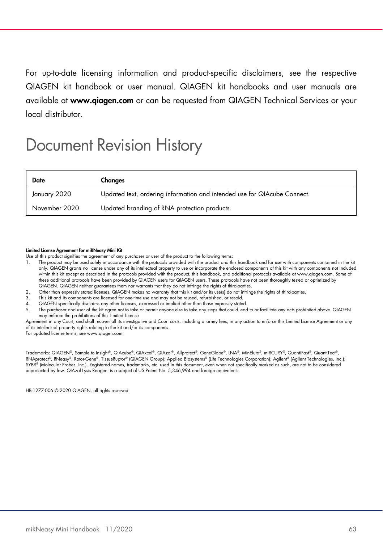For up-to-date licensing information and product-specific disclaimers, see the respective QIAGEN kit handbook or user manual. QIAGEN kit handbooks and user manuals are available at www.qiagen.com or can be requested from QIAGEN Technical Services or your local distributor.

# Document Revision History

| Date          | Changes                                                                  |
|---------------|--------------------------------------------------------------------------|
| January 2020  | Updated text, ordering information and intended use for QIAcube Connect. |
| November 2020 | Updated branding of RNA protection products.                             |

#### Limited License Agreement for miRNeasy Mini Kit

Use of this product signifies the agreement of any purchaser or user of the product to the following terms:

- 1. The product may be used solely in accordance with the protocols provided with the product and this handbook and for use with components contained in the kit only. QIAGEN grants no license under any of its intellectual property to use or incorporate the enclosed components of this kit with any components not included within this kit except as described in the protocols provided with the product, this handbook, and additional protocols available at www.qiagen.com. Some of these additional protocols have been provided by QIAGEN users for QIAGEN users. These protocols have not been thoroughly tested or optimized by QIAGEN. QIAGEN neither guarantees them nor warrants that they do not infringe the rights of third-parties.
- 2. Other than expressly stated licenses, QIAGEN makes no warranty that this kit and/or its use(s) do not infringe the rights of third-parties.
- 3. This kit and its components are licensed for one-time use and may not be reused, refurbished, or resold.
- QIAGEN specifically disclaims any other licenses, expressed or implied other than those expressly stated.

unprotected by law. QIAzol Lysis Reagent is a subject of US Patent No. 5,346,994 and foreign equivalents.

The purchaser and user of the kit agree not to take or permit anyone else to take any steps that could lead to or facilitate any acts prohibited above. QIAGEN may enforce the prohibitions of this Limited License

eement in any Court, and shall recover all its investigative and Court costs, including attorney fees, in any action to enforce this Limited License Agreement or any of its intellectual property rights relating to the kit and/or its components. For updated license terms, see www.qiagen.com.

Trademarks: QIAGEN®, Sample to Insight®, QIAcube®, QIAxcel®, QIAzol®, Allprotect®, GeneGlobe®, LNA®, MinElute®, miRCURY®, QuantiFast®, QuantiTect®, RNAprotect®, RNeasy®, Rotor-Gene®, TissueRuptor® (QIAGEN Group); Applied Biosystems® (Life Technologies Corporation); Agilent® (Agilent Technologies, Inc.); SYBR® (Molecular Probes, Inc.). Registered names, trademarks, etc. used in this document, even when not specifically marked as such, are not to be considered

HB-1277-006 © 2020 QIAGEN, all rights reserved.